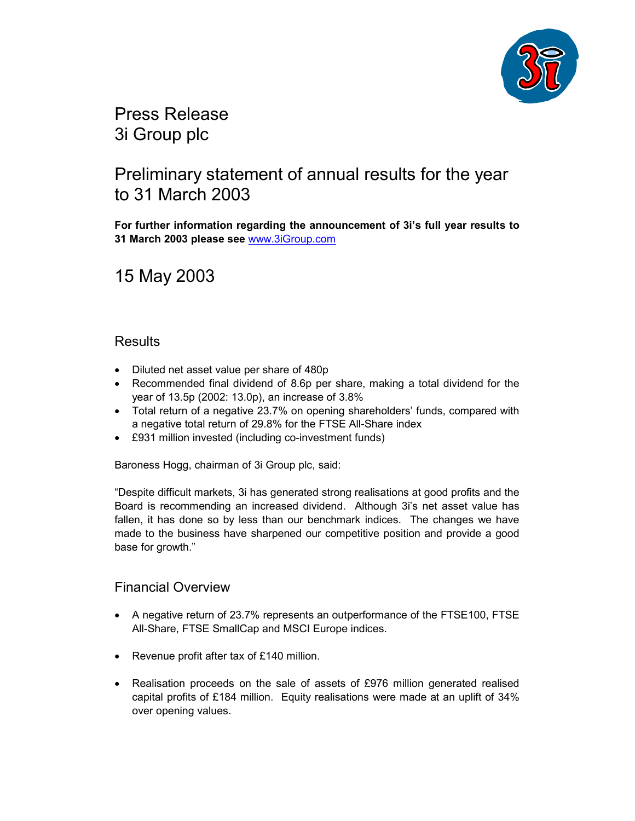

Press Release 3i Group plc

## Preliminary statement of annual results for the year to 31 March 2003

**For further information regarding the announcement of 3i's full year results to 31 March 2003 please see** www.3iGroup.com

15 May 2003

### **Results**

- Diluted net asset value per share of 480p
- Recommended final dividend of 8.6p per share, making a total dividend for the year of 13.5p (2002: 13.0p), an increase of 3.8%
- Total return of a negative 23.7% on opening shareholders' funds, compared with a negative total return of 29.8% for the FTSE All-Share index
- £931 million invested (including co-investment funds)

Baroness Hogg, chairman of 3i Group plc, said:

"Despite difficult markets, 3i has generated strong realisations at good profits and the Board is recommending an increased dividend. Although 3i's net asset value has fallen, it has done so by less than our benchmark indices. The changes we have made to the business have sharpened our competitive position and provide a good base for growth."

### Financial Overview

- A negative return of 23.7% represents an outperformance of the FTSE100, FTSE All-Share, FTSE SmallCap and MSCI Europe indices.
- Revenue profit after tax of £140 million.
- Realisation proceeds on the sale of assets of £976 million generated realised capital profits of £184 million. Equity realisations were made at an uplift of 34% over opening values.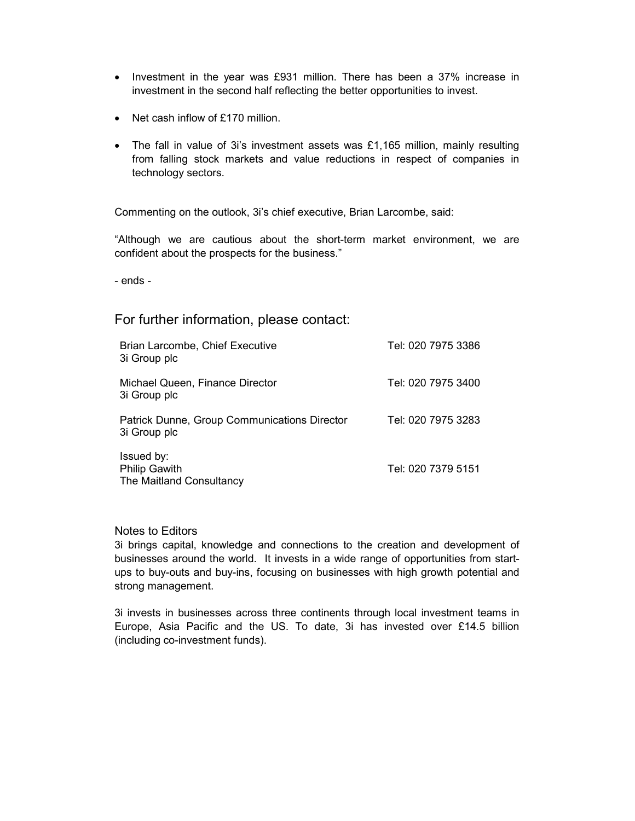- Investment in the year was £931 million. There has been a 37% increase in investment in the second half reflecting the better opportunities to invest.
- Net cash inflow of £170 million.
- The fall in value of 3i's investment assets was £1,165 million, mainly resulting from falling stock markets and value reductions in respect of companies in technology sectors.

Commenting on the outlook, 3i's chief executive, Brian Larcombe, said:

"Although we are cautious about the short-term market environment, we are confident about the prospects for the business."

- ends -

For further information, please contact:

| Brian Larcombe, Chief Executive<br>3i Group plc                | Tel: 020 7975 3386 |
|----------------------------------------------------------------|--------------------|
| Michael Queen, Finance Director<br>3i Group plc                | Tel: 020 7975 3400 |
| Patrick Dunne, Group Communications Director<br>3i Group plc   | Tel: 020 7975 3283 |
| Issued by:<br><b>Philip Gawith</b><br>The Maitland Consultancy | Tel: 020 7379 5151 |

#### Notes to Editors

3i brings capital, knowledge and connections to the creation and development of businesses around the world. It invests in a wide range of opportunities from startups to buy-outs and buy-ins, focusing on businesses with high growth potential and strong management.

3i invests in businesses across three continents through local investment teams in Europe, Asia Pacific and the US. To date, 3i has invested over £14.5 billion (including co-investment funds).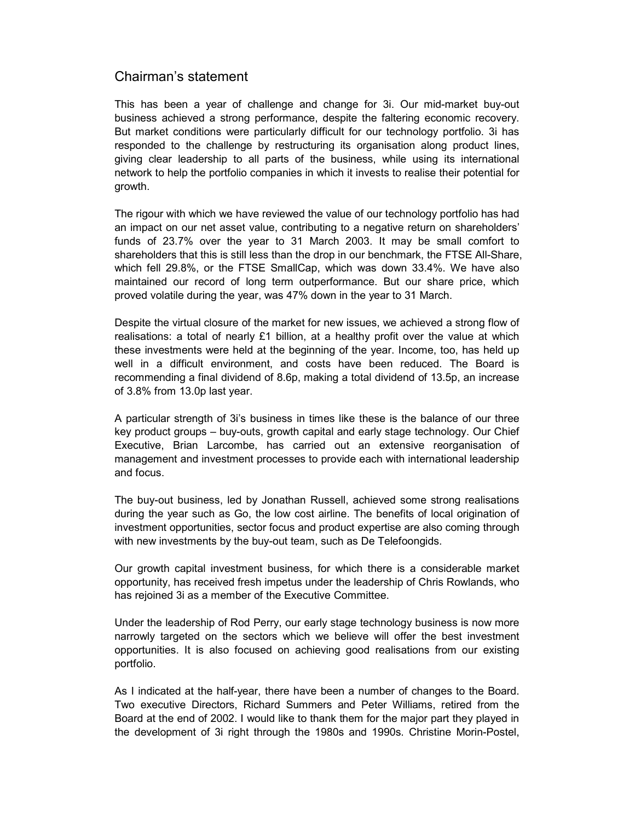## Chairman's statement

This has been a year of challenge and change for 3i. Our mid-market buy-out business achieved a strong performance, despite the faltering economic recovery. But market conditions were particularly difficult for our technology portfolio. 3i has responded to the challenge by restructuring its organisation along product lines, giving clear leadership to all parts of the business, while using its international network to help the portfolio companies in which it invests to realise their potential for growth.

The rigour with which we have reviewed the value of our technology portfolio has had an impact on our net asset value, contributing to a negative return on shareholders' funds of 23.7% over the year to 31 March 2003. It may be small comfort to shareholders that this is still less than the drop in our benchmark, the FTSE All-Share, which fell 29.8%, or the FTSE SmallCap, which was down 33.4%. We have also maintained our record of long term outperformance. But our share price, which proved volatile during the year, was 47% down in the year to 31 March.

Despite the virtual closure of the market for new issues, we achieved a strong flow of realisations: a total of nearly £1 billion, at a healthy profit over the value at which these investments were held at the beginning of the year. Income, too, has held up well in a difficult environment, and costs have been reduced. The Board is recommending a final dividend of 8.6p, making a total dividend of 13.5p, an increase of 3.8% from 13.0p last year.

A particular strength of 3i's business in times like these is the balance of our three key product groups – buy-outs, growth capital and early stage technology. Our Chief Executive, Brian Larcombe, has carried out an extensive reorganisation of management and investment processes to provide each with international leadership and focus.

The buy-out business, led by Jonathan Russell, achieved some strong realisations during the year such as Go, the low cost airline. The benefits of local origination of investment opportunities, sector focus and product expertise are also coming through with new investments by the buy-out team, such as De Telefoongids.

Our growth capital investment business, for which there is a considerable market opportunity, has received fresh impetus under the leadership of Chris Rowlands, who has rejoined 3i as a member of the Executive Committee.

Under the leadership of Rod Perry, our early stage technology business is now more narrowly targeted on the sectors which we believe will offer the best investment opportunities. It is also focused on achieving good realisations from our existing portfolio.

As I indicated at the half-year, there have been a number of changes to the Board. Two executive Directors, Richard Summers and Peter Williams, retired from the Board at the end of 2002. I would like to thank them for the major part they played in the development of 3i right through the 1980s and 1990s. Christine Morin-Postel,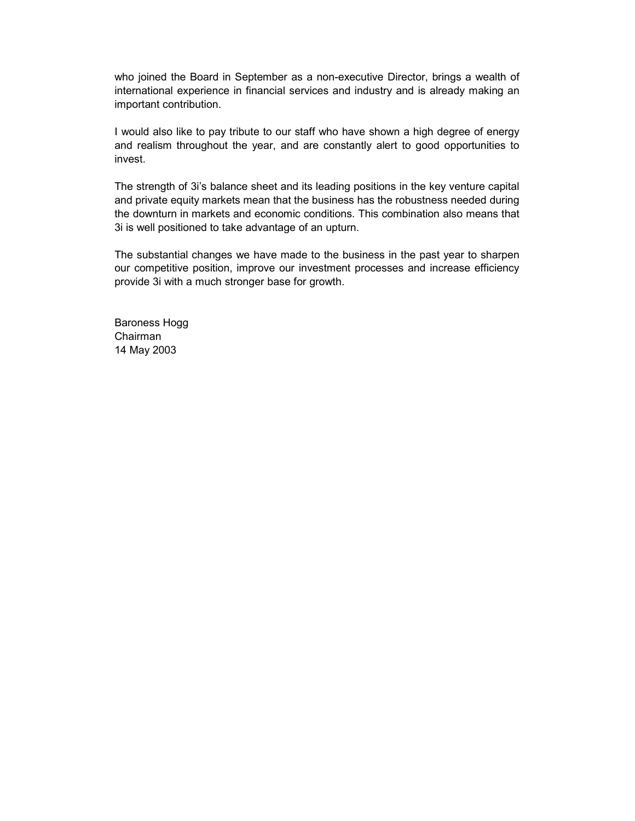who joined the Board in September as a non-executive Director, brings a wealth of international experience in financial services and industry and is already making an important contribution.

I would also like to pay tribute to our staff who have shown a high degree of energy and realism throughout the year, and are constantly alert to good opportunities to invest.

The strength of 3i's balance sheet and its leading positions in the key venture capital and private equity markets mean that the business has the robustness needed during the downturn in markets and economic conditions. This combination also means that 3i is well positioned to take advantage of an upturn.

The substantial changes we have made to the business in the past year to sharpen our competitive position, improve our investment processes and increase efficiency provide 3i with a much stronger base for growth.

Baroness Hogg Chairman 14 May 2003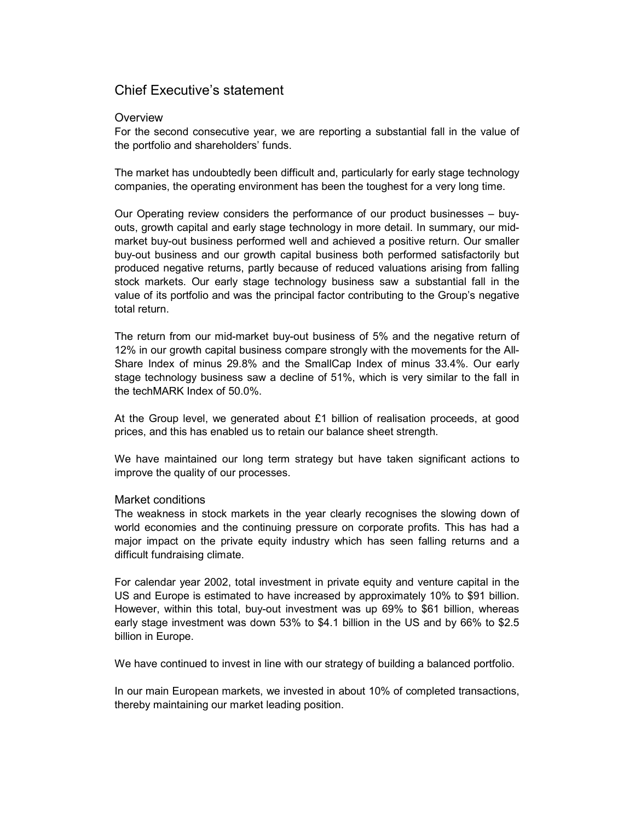## Chief Executive's statement

#### **Overview**

For the second consecutive year, we are reporting a substantial fall in the value of the portfolio and shareholders' funds.

The market has undoubtedly been difficult and, particularly for early stage technology companies, the operating environment has been the toughest for a very long time.

Our Operating review considers the performance of our product businesses – buyouts, growth capital and early stage technology in more detail. In summary, our midmarket buy-out business performed well and achieved a positive return. Our smaller buy-out business and our growth capital business both performed satisfactorily but produced negative returns, partly because of reduced valuations arising from falling stock markets. Our early stage technology business saw a substantial fall in the value of its portfolio and was the principal factor contributing to the Group's negative total return.

The return from our mid-market buy-out business of 5% and the negative return of 12% in our growth capital business compare strongly with the movements for the All-Share Index of minus 29.8% and the SmallCap Index of minus 33.4%. Our early stage technology business saw a decline of 51%, which is very similar to the fall in the techMARK Index of 50.0%.

At the Group level, we generated about £1 billion of realisation proceeds, at good prices, and this has enabled us to retain our balance sheet strength.

We have maintained our long term strategy but have taken significant actions to improve the quality of our processes.

#### Market conditions

The weakness in stock markets in the year clearly recognises the slowing down of world economies and the continuing pressure on corporate profits. This has had a major impact on the private equity industry which has seen falling returns and a difficult fundraising climate.

For calendar year 2002, total investment in private equity and venture capital in the US and Europe is estimated to have increased by approximately 10% to \$91 billion. However, within this total, buy-out investment was up 69% to \$61 billion, whereas early stage investment was down 53% to \$4.1 billion in the US and by 66% to \$2.5 billion in Europe.

We have continued to invest in line with our strategy of building a balanced portfolio.

In our main European markets, we invested in about 10% of completed transactions, thereby maintaining our market leading position.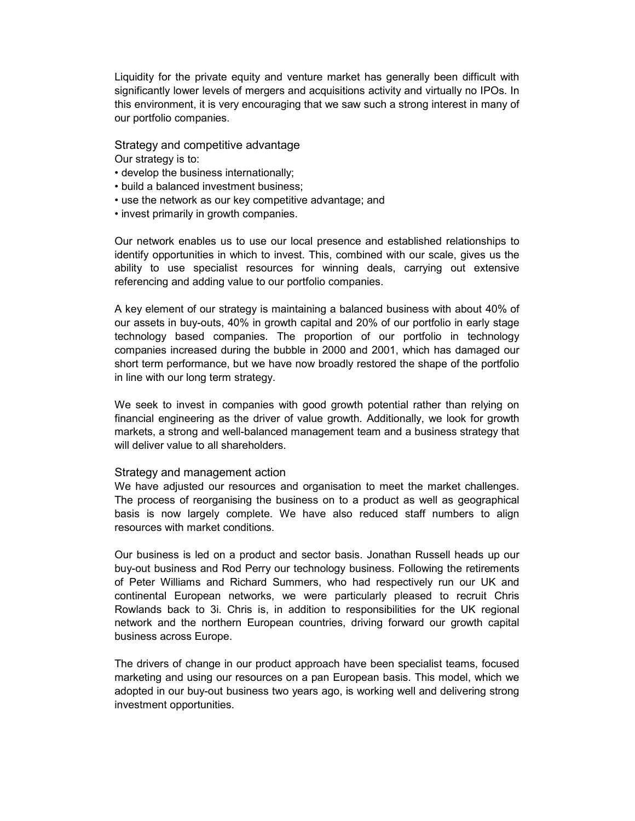Liquidity for the private equity and venture market has generally been difficult with significantly lower levels of mergers and acquisitions activity and virtually no IPOs. In this environment, it is very encouraging that we saw such a strong interest in many of our portfolio companies.

Strategy and competitive advantage Our strategy is to:

- develop the business internationally;
- build a balanced investment business;
- use the network as our key competitive advantage; and
- invest primarily in growth companies.

Our network enables us to use our local presence and established relationships to identify opportunities in which to invest. This, combined with our scale, gives us the ability to use specialist resources for winning deals, carrying out extensive referencing and adding value to our portfolio companies.

A key element of our strategy is maintaining a balanced business with about 40% of our assets in buy-outs, 40% in growth capital and 20% of our portfolio in early stage technology based companies. The proportion of our portfolio in technology companies increased during the bubble in 2000 and 2001, which has damaged our short term performance, but we have now broadly restored the shape of the portfolio in line with our long term strategy.

We seek to invest in companies with good growth potential rather than relying on financial engineering as the driver of value growth. Additionally, we look for growth markets, a strong and well-balanced management team and a business strategy that will deliver value to all shareholders.

#### Strategy and management action

We have adjusted our resources and organisation to meet the market challenges. The process of reorganising the business on to a product as well as geographical basis is now largely complete. We have also reduced staff numbers to align resources with market conditions.

Our business is led on a product and sector basis. Jonathan Russell heads up our buy-out business and Rod Perry our technology business. Following the retirements of Peter Williams and Richard Summers, who had respectively run our UK and continental European networks, we were particularly pleased to recruit Chris Rowlands back to 3i. Chris is, in addition to responsibilities for the UK regional network and the northern European countries, driving forward our growth capital business across Europe.

The drivers of change in our product approach have been specialist teams, focused marketing and using our resources on a pan European basis. This model, which we adopted in our buy-out business two years ago, is working well and delivering strong investment opportunities.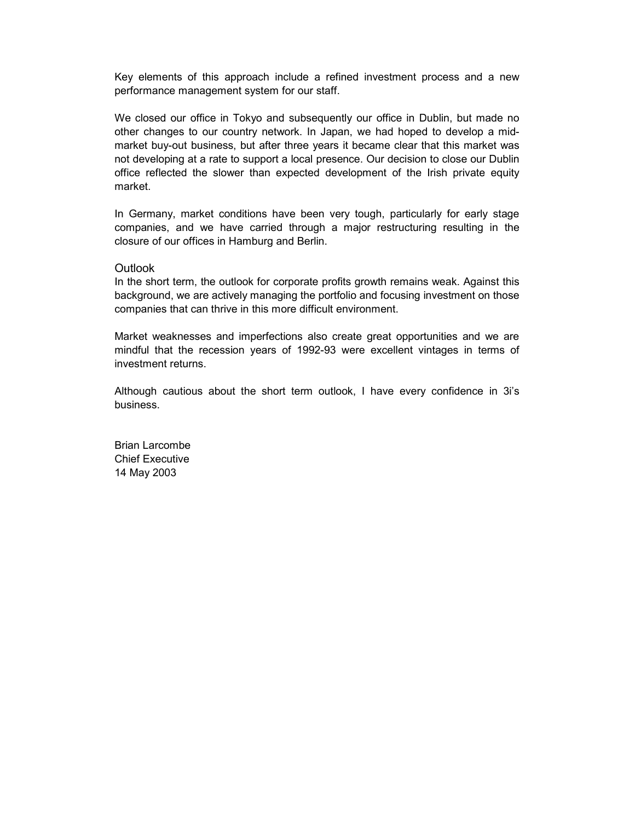Key elements of this approach include a refined investment process and a new performance management system for our staff.

We closed our office in Tokyo and subsequently our office in Dublin, but made no other changes to our country network. In Japan, we had hoped to develop a midmarket buy-out business, but after three years it became clear that this market was not developing at a rate to support a local presence. Our decision to close our Dublin office reflected the slower than expected development of the Irish private equity market.

In Germany, market conditions have been very tough, particularly for early stage companies, and we have carried through a major restructuring resulting in the closure of our offices in Hamburg and Berlin.

#### **Outlook**

In the short term, the outlook for corporate profits growth remains weak. Against this background, we are actively managing the portfolio and focusing investment on those companies that can thrive in this more difficult environment.

Market weaknesses and imperfections also create great opportunities and we are mindful that the recession years of 1992-93 were excellent vintages in terms of investment returns.

Although cautious about the short term outlook, I have every confidence in 3i's business.

Brian Larcombe Chief Executive 14 May 2003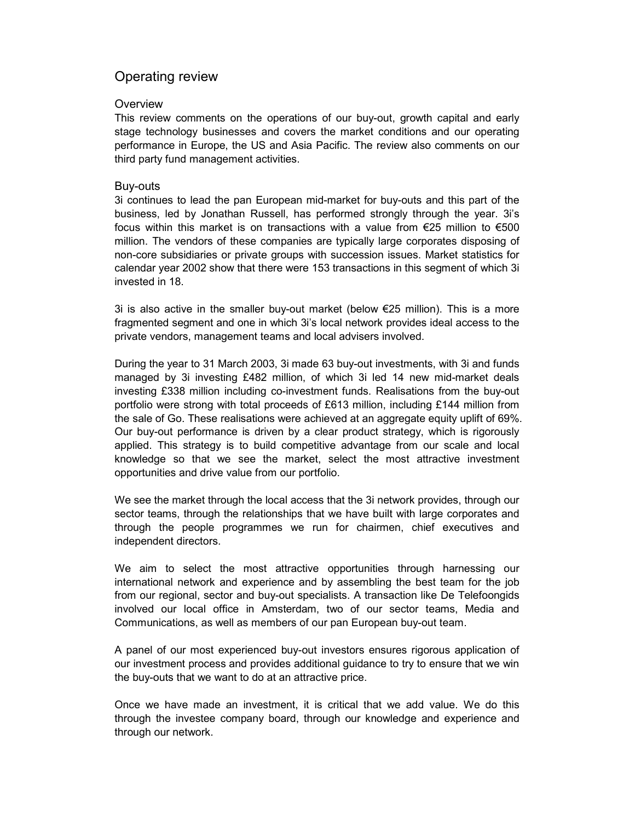## Operating review

#### **Overview**

This review comments on the operations of our buy-out, growth capital and early stage technology businesses and covers the market conditions and our operating performance in Europe, the US and Asia Pacific. The review also comments on our third party fund management activities.

#### Buy-outs

3i continues to lead the pan European mid-market for buy-outs and this part of the business, led by Jonathan Russell, has performed strongly through the year. 3i's focus within this market is on transactions with a value from  $\epsilon$ 25 million to  $\epsilon$ 500 million. The vendors of these companies are typically large corporates disposing of non-core subsidiaries or private groups with succession issues. Market statistics for calendar year 2002 show that there were 153 transactions in this segment of which 3i invested in 18.

3i is also active in the smaller buy-out market (below €25 million). This is a more fragmented segment and one in which 3i's local network provides ideal access to the private vendors, management teams and local advisers involved.

During the year to 31 March 2003, 3i made 63 buy-out investments, with 3i and funds managed by 3i investing £482 million, of which 3i led 14 new mid-market deals investing £338 million including co-investment funds. Realisations from the buy-out portfolio were strong with total proceeds of £613 million, including £144 million from the sale of Go. These realisations were achieved at an aggregate equity uplift of 69%. Our buy-out performance is driven by a clear product strategy, which is rigorously applied. This strategy is to build competitive advantage from our scale and local knowledge so that we see the market, select the most attractive investment opportunities and drive value from our portfolio.

We see the market through the local access that the 3i network provides, through our sector teams, through the relationships that we have built with large corporates and through the people programmes we run for chairmen, chief executives and independent directors.

We aim to select the most attractive opportunities through harnessing our international network and experience and by assembling the best team for the job from our regional, sector and buy-out specialists. A transaction like De Telefoongids involved our local office in Amsterdam, two of our sector teams, Media and Communications, as well as members of our pan European buy-out team.

A panel of our most experienced buy-out investors ensures rigorous application of our investment process and provides additional guidance to try to ensure that we win the buy-outs that we want to do at an attractive price.

Once we have made an investment, it is critical that we add value. We do this through the investee company board, through our knowledge and experience and through our network.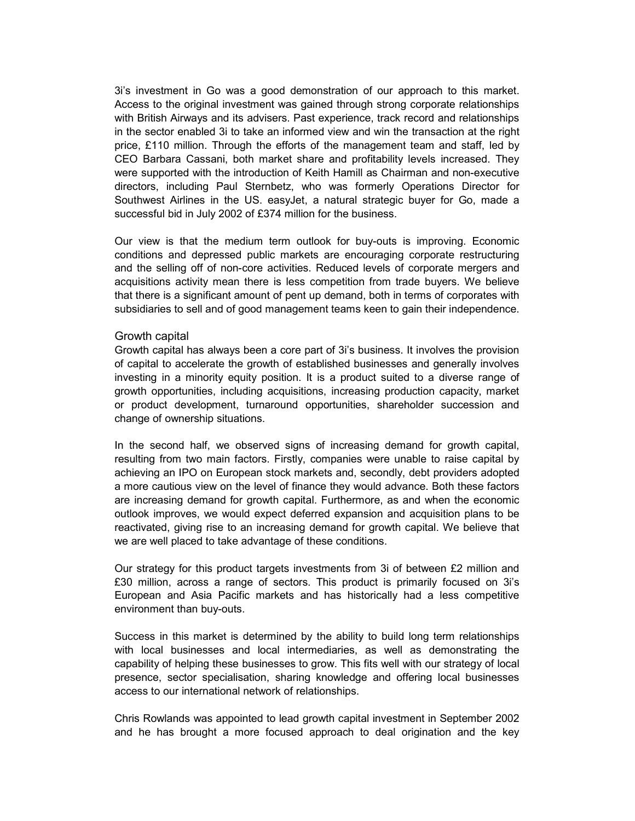3i's investment in Go was a good demonstration of our approach to this market. Access to the original investment was gained through strong corporate relationships with British Airways and its advisers. Past experience, track record and relationships in the sector enabled 3i to take an informed view and win the transaction at the right price, £110 million. Through the efforts of the management team and staff, led by CEO Barbara Cassani, both market share and profitability levels increased. They were supported with the introduction of Keith Hamill as Chairman and non-executive directors, including Paul Sternbetz, who was formerly Operations Director for Southwest Airlines in the US. easyJet, a natural strategic buyer for Go, made a successful bid in July 2002 of £374 million for the business.

Our view is that the medium term outlook for buy-outs is improving. Economic conditions and depressed public markets are encouraging corporate restructuring and the selling off of non-core activities. Reduced levels of corporate mergers and acquisitions activity mean there is less competition from trade buyers. We believe that there is a significant amount of pent up demand, both in terms of corporates with subsidiaries to sell and of good management teams keen to gain their independence.

#### Growth capital

Growth capital has always been a core part of 3i's business. It involves the provision of capital to accelerate the growth of established businesses and generally involves investing in a minority equity position. It is a product suited to a diverse range of growth opportunities, including acquisitions, increasing production capacity, market or product development, turnaround opportunities, shareholder succession and change of ownership situations.

In the second half, we observed signs of increasing demand for growth capital, resulting from two main factors. Firstly, companies were unable to raise capital by achieving an IPO on European stock markets and, secondly, debt providers adopted a more cautious view on the level of finance they would advance. Both these factors are increasing demand for growth capital. Furthermore, as and when the economic outlook improves, we would expect deferred expansion and acquisition plans to be reactivated, giving rise to an increasing demand for growth capital. We believe that we are well placed to take advantage of these conditions.

Our strategy for this product targets investments from 3i of between £2 million and £30 million, across a range of sectors. This product is primarily focused on 3i's European and Asia Pacific markets and has historically had a less competitive environment than buy-outs.

Success in this market is determined by the ability to build long term relationships with local businesses and local intermediaries, as well as demonstrating the capability of helping these businesses to grow. This fits well with our strategy of local presence, sector specialisation, sharing knowledge and offering local businesses access to our international network of relationships.

Chris Rowlands was appointed to lead growth capital investment in September 2002 and he has brought a more focused approach to deal origination and the key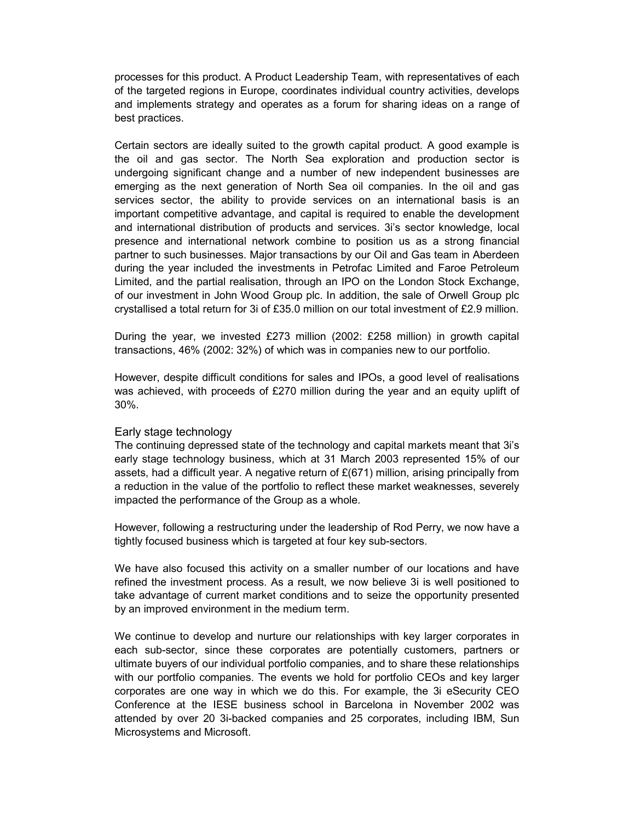processes for this product. A Product Leadership Team, with representatives of each of the targeted regions in Europe, coordinates individual country activities, develops and implements strategy and operates as a forum for sharing ideas on a range of best practices.

Certain sectors are ideally suited to the growth capital product. A good example is the oil and gas sector. The North Sea exploration and production sector is undergoing significant change and a number of new independent businesses are emerging as the next generation of North Sea oil companies. In the oil and gas services sector, the ability to provide services on an international basis is an important competitive advantage, and capital is required to enable the development and international distribution of products and services. 3i's sector knowledge, local presence and international network combine to position us as a strong financial partner to such businesses. Major transactions by our Oil and Gas team in Aberdeen during the year included the investments in Petrofac Limited and Faroe Petroleum Limited, and the partial realisation, through an IPO on the London Stock Exchange, of our investment in John Wood Group plc. In addition, the sale of Orwell Group plc crystallised a total return for 3i of £35.0 million on our total investment of £2.9 million.

During the year, we invested £273 million (2002: £258 million) in growth capital transactions, 46% (2002: 32%) of which was in companies new to our portfolio.

However, despite difficult conditions for sales and IPOs, a good level of realisations was achieved, with proceeds of £270 million during the year and an equity uplift of 30%.

#### Early stage technology

The continuing depressed state of the technology and capital markets meant that 3i's early stage technology business, which at 31 March 2003 represented 15% of our assets, had a difficult year. A negative return of  $E(671)$  million, arising principally from a reduction in the value of the portfolio to reflect these market weaknesses, severely impacted the performance of the Group as a whole.

However, following a restructuring under the leadership of Rod Perry, we now have a tightly focused business which is targeted at four key sub-sectors.

We have also focused this activity on a smaller number of our locations and have refined the investment process. As a result, we now believe 3i is well positioned to take advantage of current market conditions and to seize the opportunity presented by an improved environment in the medium term.

We continue to develop and nurture our relationships with key larger corporates in each sub-sector, since these corporates are potentially customers, partners or ultimate buyers of our individual portfolio companies, and to share these relationships with our portfolio companies. The events we hold for portfolio CEOs and key larger corporates are one way in which we do this. For example, the 3i eSecurity CEO Conference at the IESE business school in Barcelona in November 2002 was attended by over 20 3i-backed companies and 25 corporates, including IBM, Sun Microsystems and Microsoft.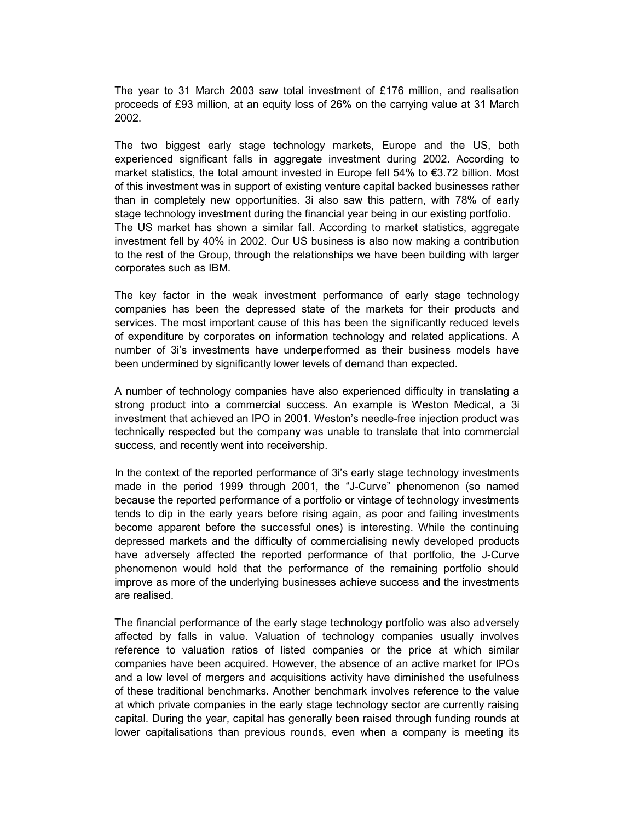The year to 31 March 2003 saw total investment of £176 million, and realisation proceeds of £93 million, at an equity loss of 26% on the carrying value at 31 March 2002.

The two biggest early stage technology markets, Europe and the US, both experienced significant falls in aggregate investment during 2002. According to market statistics, the total amount invested in Europe fell 54% to €3.72 billion. Most of this investment was in support of existing venture capital backed businesses rather than in completely new opportunities. 3i also saw this pattern, with 78% of early stage technology investment during the financial year being in our existing portfolio. The US market has shown a similar fall. According to market statistics, aggregate investment fell by 40% in 2002. Our US business is also now making a contribution to the rest of the Group, through the relationships we have been building with larger corporates such as IBM.

The key factor in the weak investment performance of early stage technology companies has been the depressed state of the markets for their products and services. The most important cause of this has been the significantly reduced levels of expenditure by corporates on information technology and related applications. A number of 3i's investments have underperformed as their business models have been undermined by significantly lower levels of demand than expected.

A number of technology companies have also experienced difficulty in translating a strong product into a commercial success. An example is Weston Medical, a 3i investment that achieved an IPO in 2001. Weston's needle-free injection product was technically respected but the company was unable to translate that into commercial success, and recently went into receivership.

In the context of the reported performance of 3i's early stage technology investments made in the period 1999 through 2001, the "J-Curve" phenomenon (so named because the reported performance of a portfolio or vintage of technology investments tends to dip in the early years before rising again, as poor and failing investments become apparent before the successful ones) is interesting. While the continuing depressed markets and the difficulty of commercialising newly developed products have adversely affected the reported performance of that portfolio, the J-Curve phenomenon would hold that the performance of the remaining portfolio should improve as more of the underlying businesses achieve success and the investments are realised.

The financial performance of the early stage technology portfolio was also adversely affected by falls in value. Valuation of technology companies usually involves reference to valuation ratios of listed companies or the price at which similar companies have been acquired. However, the absence of an active market for IPOs and a low level of mergers and acquisitions activity have diminished the usefulness of these traditional benchmarks. Another benchmark involves reference to the value at which private companies in the early stage technology sector are currently raising capital. During the year, capital has generally been raised through funding rounds at lower capitalisations than previous rounds, even when a company is meeting its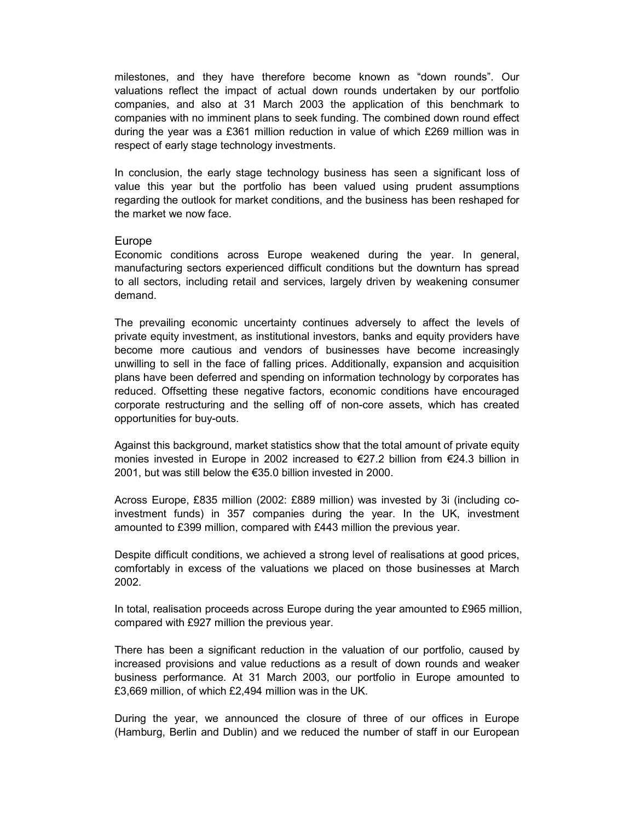milestones, and they have therefore become known as "down rounds". Our valuations reflect the impact of actual down rounds undertaken by our portfolio companies, and also at 31 March 2003 the application of this benchmark to companies with no imminent plans to seek funding. The combined down round effect during the year was a £361 million reduction in value of which £269 million was in respect of early stage technology investments.

In conclusion, the early stage technology business has seen a significant loss of value this year but the portfolio has been valued using prudent assumptions regarding the outlook for market conditions, and the business has been reshaped for the market we now face.

#### Europe

Economic conditions across Europe weakened during the year. In general, manufacturing sectors experienced difficult conditions but the downturn has spread to all sectors, including retail and services, largely driven by weakening consumer demand.

The prevailing economic uncertainty continues adversely to affect the levels of private equity investment, as institutional investors, banks and equity providers have become more cautious and vendors of businesses have become increasingly unwilling to sell in the face of falling prices. Additionally, expansion and acquisition plans have been deferred and spending on information technology by corporates has reduced. Offsetting these negative factors, economic conditions have encouraged corporate restructuring and the selling off of non-core assets, which has created opportunities for buy-outs.

Against this background, market statistics show that the total amount of private equity monies invested in Europe in 2002 increased to €27.2 billion from €24.3 billion in 2001, but was still below the €35.0 billion invested in 2000.

Across Europe, £835 million (2002: £889 million) was invested by 3i (including coinvestment funds) in 357 companies during the year. In the UK, investment amounted to £399 million, compared with £443 million the previous year.

Despite difficult conditions, we achieved a strong level of realisations at good prices, comfortably in excess of the valuations we placed on those businesses at March 2002.

In total, realisation proceeds across Europe during the year amounted to £965 million, compared with £927 million the previous year.

There has been a significant reduction in the valuation of our portfolio, caused by increased provisions and value reductions as a result of down rounds and weaker business performance. At 31 March 2003, our portfolio in Europe amounted to £3,669 million, of which £2,494 million was in the UK.

During the year, we announced the closure of three of our offices in Europe (Hamburg, Berlin and Dublin) and we reduced the number of staff in our European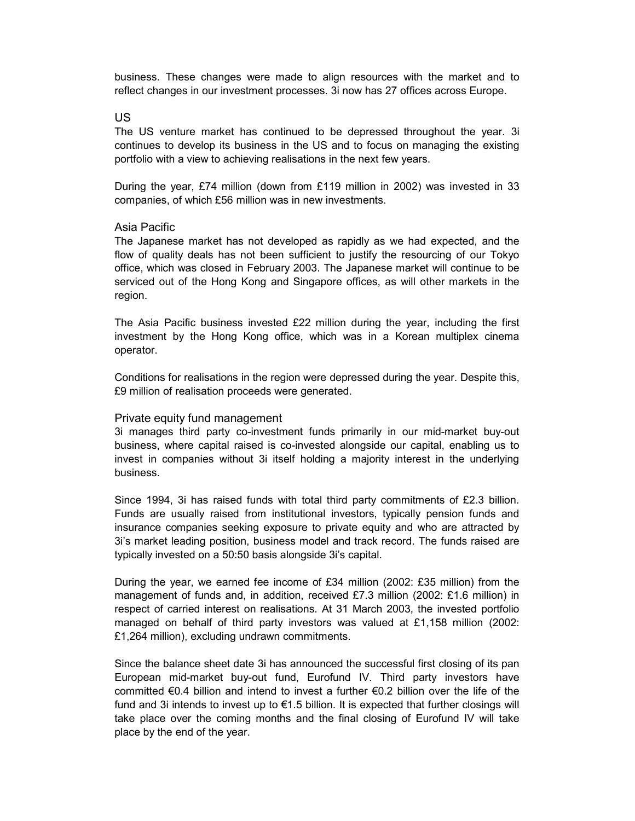business. These changes were made to align resources with the market and to reflect changes in our investment processes. 3i now has 27 offices across Europe.

US

The US venture market has continued to be depressed throughout the year. 3i continues to develop its business in the US and to focus on managing the existing portfolio with a view to achieving realisations in the next few years.

During the year, £74 million (down from £119 million in 2002) was invested in 33 companies, of which £56 million was in new investments.

#### Asia Pacific

The Japanese market has not developed as rapidly as we had expected, and the flow of quality deals has not been sufficient to justify the resourcing of our Tokyo office, which was closed in February 2003. The Japanese market will continue to be serviced out of the Hong Kong and Singapore offices, as will other markets in the region.

The Asia Pacific business invested £22 million during the year, including the first investment by the Hong Kong office, which was in a Korean multiplex cinema operator.

Conditions for realisations in the region were depressed during the year. Despite this, £9 million of realisation proceeds were generated.

#### Private equity fund management

3i manages third party co-investment funds primarily in our mid-market buy-out business, where capital raised is co-invested alongside our capital, enabling us to invest in companies without 3i itself holding a majority interest in the underlying business.

Since 1994, 3i has raised funds with total third party commitments of £2.3 billion. Funds are usually raised from institutional investors, typically pension funds and insurance companies seeking exposure to private equity and who are attracted by 3i's market leading position, business model and track record. The funds raised are typically invested on a 50:50 basis alongside 3i's capital.

During the year, we earned fee income of £34 million (2002: £35 million) from the management of funds and, in addition, received £7.3 million (2002: £1.6 million) in respect of carried interest on realisations. At 31 March 2003, the invested portfolio managed on behalf of third party investors was valued at £1,158 million (2002: £1,264 million), excluding undrawn commitments.

Since the balance sheet date 3i has announced the successful first closing of its pan European mid-market buy-out fund, Eurofund IV. Third party investors have committed €0.4 billion and intend to invest a further  $€0.2$  billion over the life of the fund and 3i intends to invest up to  $\epsilon$ 1.5 billion. It is expected that further closings will take place over the coming months and the final closing of Eurofund IV will take place by the end of the year.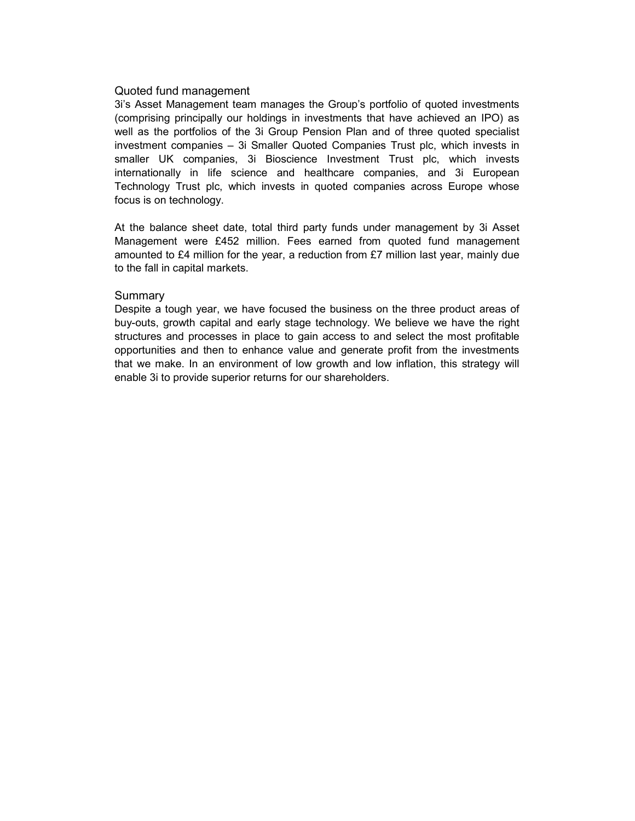#### Quoted fund management

3i's Asset Management team manages the Group's portfolio of quoted investments (comprising principally our holdings in investments that have achieved an IPO) as well as the portfolios of the 3i Group Pension Plan and of three quoted specialist investment companies – 3i Smaller Quoted Companies Trust plc, which invests in smaller UK companies, 3i Bioscience Investment Trust plc, which invests internationally in life science and healthcare companies, and 3i European Technology Trust plc, which invests in quoted companies across Europe whose focus is on technology.

At the balance sheet date, total third party funds under management by 3i Asset Management were £452 million. Fees earned from quoted fund management amounted to £4 million for the year, a reduction from £7 million last year, mainly due to the fall in capital markets.

#### **Summary**

Despite a tough year, we have focused the business on the three product areas of buy-outs, growth capital and early stage technology. We believe we have the right structures and processes in place to gain access to and select the most profitable opportunities and then to enhance value and generate profit from the investments that we make. In an environment of low growth and low inflation, this strategy will enable 3i to provide superior returns for our shareholders.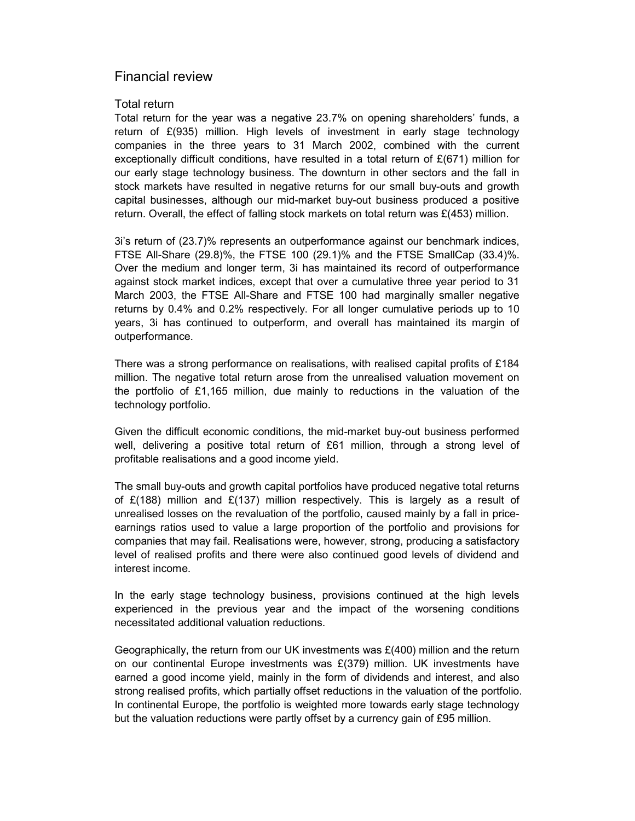## Financial review

#### Total return

Total return for the year was a negative 23.7% on opening shareholders' funds, a return of £(935) million. High levels of investment in early stage technology companies in the three years to 31 March 2002, combined with the current exceptionally difficult conditions, have resulted in a total return of  $E(671)$  million for our early stage technology business. The downturn in other sectors and the fall in stock markets have resulted in negative returns for our small buy-outs and growth capital businesses, although our mid-market buy-out business produced a positive return. Overall, the effect of falling stock markets on total return was  $E(453)$  million.

3i's return of (23.7)% represents an outperformance against our benchmark indices, FTSE All-Share (29.8)%, the FTSE 100 (29.1)% and the FTSE SmallCap (33.4)%. Over the medium and longer term, 3i has maintained its record of outperformance against stock market indices, except that over a cumulative three year period to 31 March 2003, the FTSE All-Share and FTSE 100 had marginally smaller negative returns by 0.4% and 0.2% respectively. For all longer cumulative periods up to 10 years, 3i has continued to outperform, and overall has maintained its margin of outperformance.

There was a strong performance on realisations, with realised capital profits of £184 million. The negative total return arose from the unrealised valuation movement on the portfolio of £1,165 million, due mainly to reductions in the valuation of the technology portfolio.

Given the difficult economic conditions, the mid-market buy-out business performed well, delivering a positive total return of £61 million, through a strong level of profitable realisations and a good income yield.

The small buy-outs and growth capital portfolios have produced negative total returns of  $E(188)$  million and  $E(137)$  million respectively. This is largely as a result of unrealised losses on the revaluation of the portfolio, caused mainly by a fall in priceearnings ratios used to value a large proportion of the portfolio and provisions for companies that may fail. Realisations were, however, strong, producing a satisfactory level of realised profits and there were also continued good levels of dividend and interest income.

In the early stage technology business, provisions continued at the high levels experienced in the previous year and the impact of the worsening conditions necessitated additional valuation reductions.

Geographically, the return from our UK investments was  $E(400)$  million and the return on our continental Europe investments was £(379) million. UK investments have earned a good income yield, mainly in the form of dividends and interest, and also strong realised profits, which partially offset reductions in the valuation of the portfolio. In continental Europe, the portfolio is weighted more towards early stage technology but the valuation reductions were partly offset by a currency gain of £95 million.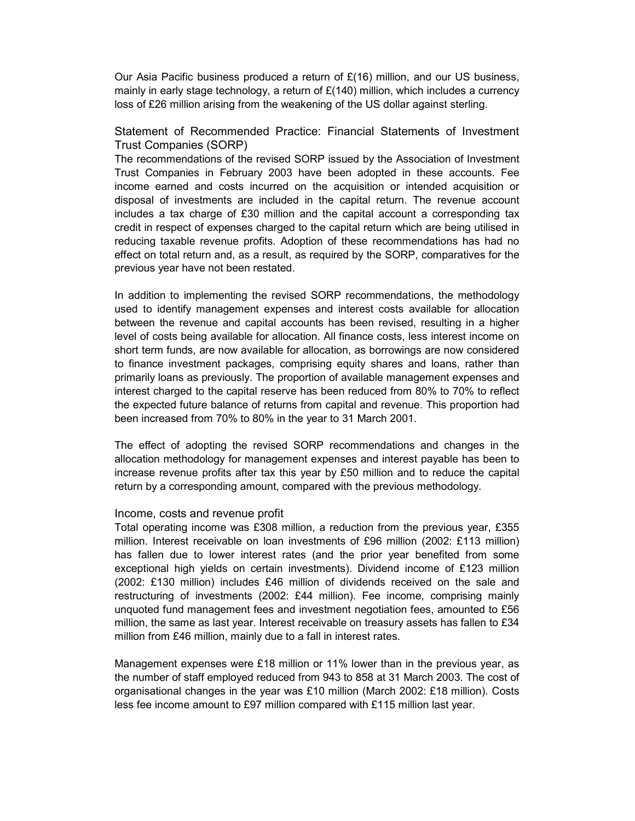Our Asia Pacific business produced a return of  $E(16)$  million, and our US business, mainly in early stage technology, a return of  $£(140)$  million, which includes a currency loss of £26 million arising from the weakening of the US dollar against sterling.

Statement of Recommended Practice: Financial Statements of Investment Trust Companies (SORP)

The recommendations of the revised SORP issued by the Association of Investment Trust Companies in February 2003 have been adopted in these accounts. Fee income earned and costs incurred on the acquisition or intended acquisition or disposal of investments are included in the capital return. The revenue account includes a tax charge of £30 million and the capital account a corresponding tax credit in respect of expenses charged to the capital return which are being utilised in reducing taxable revenue profits. Adoption of these recommendations has had no effect on total return and, as a result, as required by the SORP, comparatives for the previous year have not been restated.

In addition to implementing the revised SORP recommendations, the methodology used to identify management expenses and interest costs available for allocation between the revenue and capital accounts has been revised, resulting in a higher level of costs being available for allocation. All finance costs, less interest income on short term funds, are now available for allocation, as borrowings are now considered to finance investment packages, comprising equity shares and loans, rather than primarily loans as previously. The proportion of available management expenses and interest charged to the capital reserve has been reduced from 80% to 70% to reflect the expected future balance of returns from capital and revenue. This proportion had been increased from 70% to 80% in the year to 31 March 2001.

The effect of adopting the revised SORP recommendations and changes in the allocation methodology for management expenses and interest payable has been to increase revenue profits after tax this year by £50 million and to reduce the capital return by a corresponding amount, compared with the previous methodology.

#### Income, costs and revenue profit

Total operating income was £308 million, a reduction from the previous year, £355 million. Interest receivable on loan investments of £96 million (2002: £113 million) has fallen due to lower interest rates (and the prior year benefited from some exceptional high yields on certain investments). Dividend income of £123 million (2002: £130 million) includes £46 million of dividends received on the sale and restructuring of investments (2002: £44 million). Fee income, comprising mainly unquoted fund management fees and investment negotiation fees, amounted to £56 million, the same as last year. Interest receivable on treasury assets has fallen to £34 million from £46 million, mainly due to a fall in interest rates.

Management expenses were £18 million or 11% lower than in the previous year, as the number of staff employed reduced from 943 to 858 at 31 March 2003. The cost of organisational changes in the year was £10 million (March 2002: £18 million). Costs less fee income amount to £97 million compared with £115 million last year.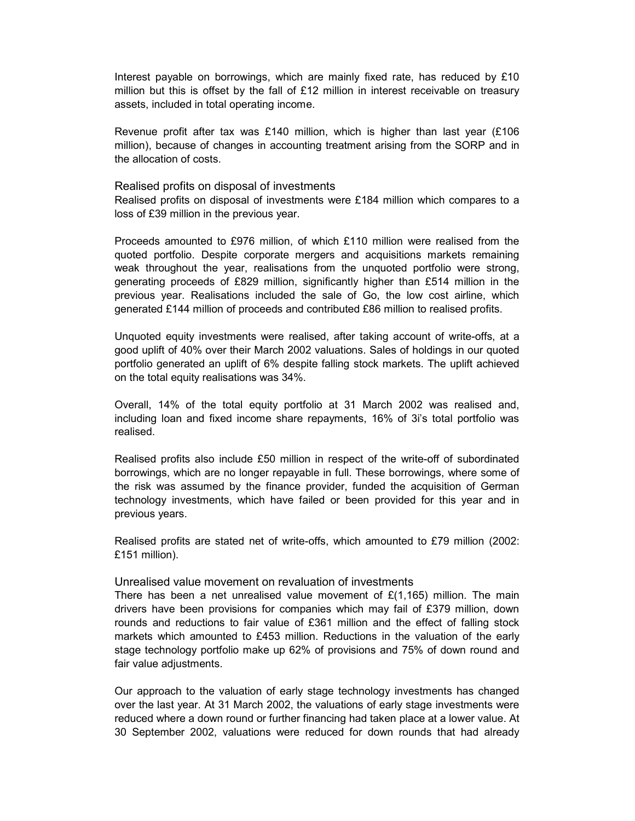Interest payable on borrowings, which are mainly fixed rate, has reduced by £10 million but this is offset by the fall of £12 million in interest receivable on treasury assets, included in total operating income.

Revenue profit after tax was £140 million, which is higher than last year  $(E106)$ million), because of changes in accounting treatment arising from the SORP and in the allocation of costs.

#### Realised profits on disposal of investments

Realised profits on disposal of investments were £184 million which compares to a loss of £39 million in the previous year.

Proceeds amounted to £976 million, of which £110 million were realised from the quoted portfolio. Despite corporate mergers and acquisitions markets remaining weak throughout the year, realisations from the unquoted portfolio were strong, generating proceeds of £829 million, significantly higher than £514 million in the previous year. Realisations included the sale of Go, the low cost airline, which generated £144 million of proceeds and contributed £86 million to realised profits.

Unquoted equity investments were realised, after taking account of write-offs, at a good uplift of 40% over their March 2002 valuations. Sales of holdings in our quoted portfolio generated an uplift of 6% despite falling stock markets. The uplift achieved on the total equity realisations was 34%.

Overall, 14% of the total equity portfolio at 31 March 2002 was realised and, including loan and fixed income share repayments, 16% of 3i's total portfolio was realised.

Realised profits also include £50 million in respect of the write-off of subordinated borrowings, which are no longer repayable in full. These borrowings, where some of the risk was assumed by the finance provider, funded the acquisition of German technology investments, which have failed or been provided for this year and in previous years.

Realised profits are stated net of write-offs, which amounted to £79 million (2002: £151 million).

#### Unrealised value movement on revaluation of investments

There has been a net unrealised value movement of  $E(1,165)$  million. The main drivers have been provisions for companies which may fail of £379 million, down rounds and reductions to fair value of £361 million and the effect of falling stock markets which amounted to £453 million. Reductions in the valuation of the early stage technology portfolio make up 62% of provisions and 75% of down round and fair value adjustments.

Our approach to the valuation of early stage technology investments has changed over the last year. At 31 March 2002, the valuations of early stage investments were reduced where a down round or further financing had taken place at a lower value. At 30 September 2002, valuations were reduced for down rounds that had already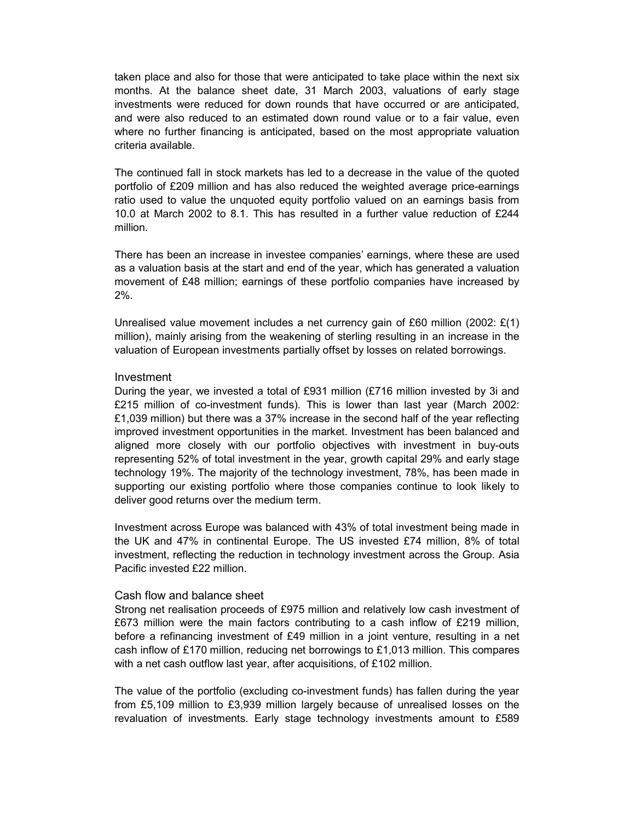taken place and also for those that were anticipated to take place within the next six months. At the balance sheet date, 31 March 2003, valuations of early stage investments were reduced for down rounds that have occurred or are anticipated, and were also reduced to an estimated down round value or to a fair value, even where no further financing is anticipated, based on the most appropriate valuation criteria available.

The continued fall in stock markets has led to a decrease in the value of the quoted portfolio of £209 million and has also reduced the weighted average price-earnings ratio used to value the unquoted equity portfolio valued on an earnings basis from 10.0 at March 2002 to 8.1. This has resulted in a further value reduction of £244 million.

There has been an increase in investee companies' earnings, where these are used as a valuation basis at the start and end of the year, which has generated a valuation movement of £48 million; earnings of these portfolio companies have increased by 2%.

Unrealised value movement includes a net currency gain of £60 million (2002:  $E(1)$ ) million), mainly arising from the weakening of sterling resulting in an increase in the valuation of European investments partially offset by losses on related borrowings.

#### Investment

During the year, we invested a total of £931 million (£716 million invested by 3i and £215 million of co-investment funds). This is lower than last year (March 2002: £1,039 million) but there was a 37% increase in the second half of the year reflecting improved investment opportunities in the market. Investment has been balanced and aligned more closely with our portfolio objectives with investment in buy-outs representing 52% of total investment in the year, growth capital 29% and early stage technology 19%. The majority of the technology investment, 78%, has been made in supporting our existing portfolio where those companies continue to look likely to deliver good returns over the medium term.

Investment across Europe was balanced with 43% of total investment being made in the UK and 47% in continental Europe. The US invested £74 million, 8% of total investment, reflecting the reduction in technology investment across the Group. Asia Pacific invested £22 million.

#### Cash flow and balance sheet

Strong net realisation proceeds of £975 million and relatively low cash investment of £673 million were the main factors contributing to a cash inflow of £219 million, before a refinancing investment of £49 million in a joint venture, resulting in a net cash inflow of £170 million, reducing net borrowings to £1,013 million. This compares with a net cash outflow last year, after acquisitions, of £102 million.

The value of the portfolio (excluding co-investment funds) has fallen during the year from £5,109 million to £3,939 million largely because of unrealised losses on the revaluation of investments. Early stage technology investments amount to £589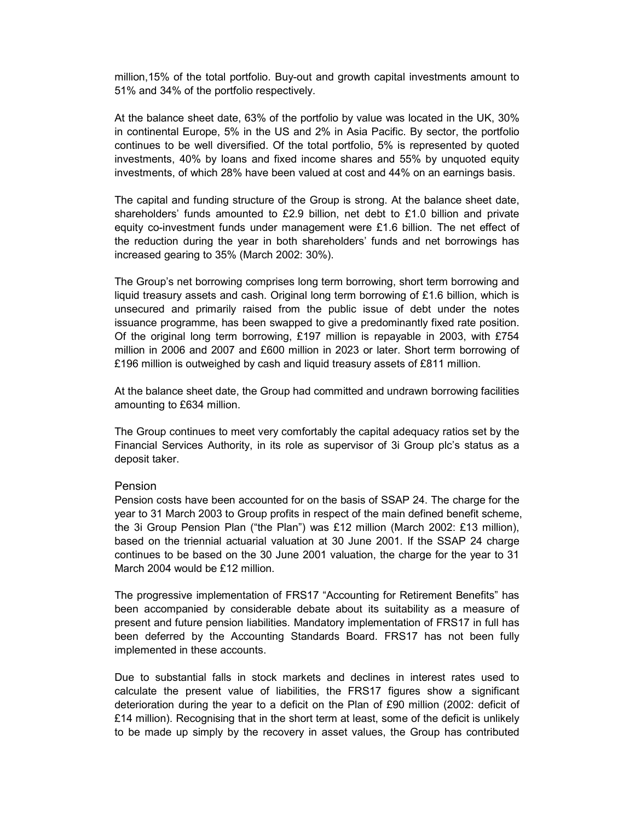million,15% of the total portfolio. Buy-out and growth capital investments amount to 51% and 34% of the portfolio respectively.

At the balance sheet date, 63% of the portfolio by value was located in the UK, 30% in continental Europe, 5% in the US and 2% in Asia Pacific. By sector, the portfolio continues to be well diversified. Of the total portfolio, 5% is represented by quoted investments, 40% by loans and fixed income shares and 55% by unquoted equity investments, of which 28% have been valued at cost and 44% on an earnings basis.

The capital and funding structure of the Group is strong. At the balance sheet date, shareholders' funds amounted to £2.9 billion, net debt to £1.0 billion and private equity co-investment funds under management were £1.6 billion. The net effect of the reduction during the year in both shareholders' funds and net borrowings has increased gearing to 35% (March 2002: 30%).

The Group's net borrowing comprises long term borrowing, short term borrowing and liquid treasury assets and cash. Original long term borrowing of  $£1.6$  billion, which is unsecured and primarily raised from the public issue of debt under the notes issuance programme, has been swapped to give a predominantly fixed rate position. Of the original long term borrowing, £197 million is repayable in 2003, with £754 million in 2006 and 2007 and £600 million in 2023 or later. Short term borrowing of £196 million is outweighed by cash and liquid treasury assets of £811 million.

At the balance sheet date, the Group had committed and undrawn borrowing facilities amounting to £634 million.

The Group continues to meet very comfortably the capital adequacy ratios set by the Financial Services Authority, in its role as supervisor of 3i Group plc's status as a deposit taker.

#### Pension

Pension costs have been accounted for on the basis of SSAP 24. The charge for the year to 31 March 2003 to Group profits in respect of the main defined benefit scheme, the 3i Group Pension Plan ("the Plan") was £12 million (March 2002: £13 million), based on the triennial actuarial valuation at 30 June 2001. If the SSAP 24 charge continues to be based on the 30 June 2001 valuation, the charge for the year to 31 March 2004 would be £12 million.

The progressive implementation of FRS17 "Accounting for Retirement Benefits" has been accompanied by considerable debate about its suitability as a measure of present and future pension liabilities. Mandatory implementation of FRS17 in full has been deferred by the Accounting Standards Board. FRS17 has not been fully implemented in these accounts.

Due to substantial falls in stock markets and declines in interest rates used to calculate the present value of liabilities, the FRS17 figures show a significant deterioration during the year to a deficit on the Plan of £90 million (2002: deficit of £14 million). Recognising that in the short term at least, some of the deficit is unlikely to be made up simply by the recovery in asset values, the Group has contributed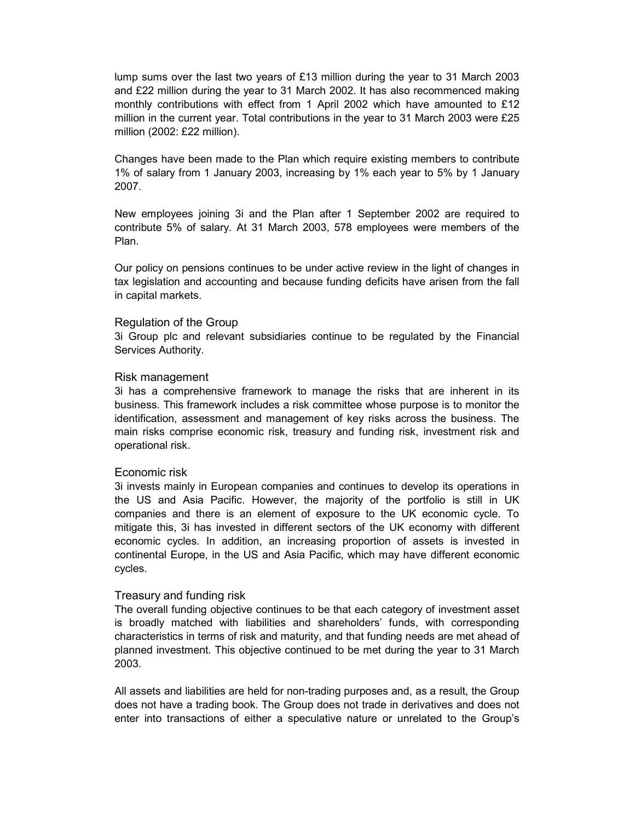lump sums over the last two years of £13 million during the year to 31 March 2003 and £22 million during the year to 31 March 2002. It has also recommenced making monthly contributions with effect from 1 April 2002 which have amounted to £12 million in the current year. Total contributions in the year to 31 March 2003 were £25 million (2002: £22 million).

Changes have been made to the Plan which require existing members to contribute 1% of salary from 1 January 2003, increasing by 1% each year to 5% by 1 January 2007.

New employees joining 3i and the Plan after 1 September 2002 are required to contribute 5% of salary. At 31 March 2003, 578 employees were members of the Plan.

Our policy on pensions continues to be under active review in the light of changes in tax legislation and accounting and because funding deficits have arisen from the fall in capital markets.

#### Regulation of the Group

3i Group plc and relevant subsidiaries continue to be regulated by the Financial Services Authority.

#### Risk management

3i has a comprehensive framework to manage the risks that are inherent in its business. This framework includes a risk committee whose purpose is to monitor the identification, assessment and management of key risks across the business. The main risks comprise economic risk, treasury and funding risk, investment risk and operational risk.

#### Economic risk

3i invests mainly in European companies and continues to develop its operations in the US and Asia Pacific. However, the majority of the portfolio is still in UK companies and there is an element of exposure to the UK economic cycle. To mitigate this, 3i has invested in different sectors of the UK economy with different economic cycles. In addition, an increasing proportion of assets is invested in continental Europe, in the US and Asia Pacific, which may have different economic cycles.

#### Treasury and funding risk

The overall funding objective continues to be that each category of investment asset is broadly matched with liabilities and shareholders' funds, with corresponding characteristics in terms of risk and maturity, and that funding needs are met ahead of planned investment. This objective continued to be met during the year to 31 March 2003.

All assets and liabilities are held for non-trading purposes and, as a result, the Group does not have a trading book. The Group does not trade in derivatives and does not enter into transactions of either a speculative nature or unrelated to the Group's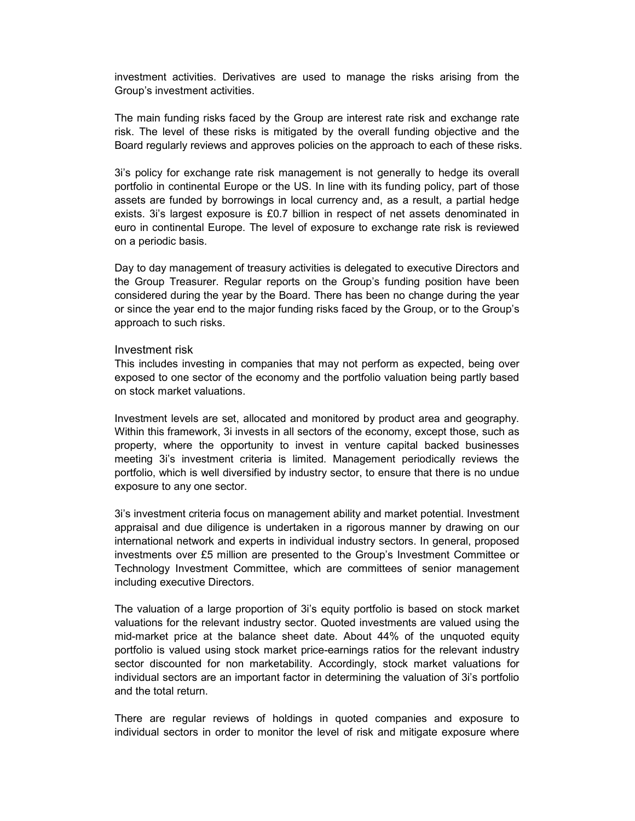investment activities. Derivatives are used to manage the risks arising from the Group's investment activities.

The main funding risks faced by the Group are interest rate risk and exchange rate risk. The level of these risks is mitigated by the overall funding objective and the Board regularly reviews and approves policies on the approach to each of these risks.

3i's policy for exchange rate risk management is not generally to hedge its overall portfolio in continental Europe or the US. In line with its funding policy, part of those assets are funded by borrowings in local currency and, as a result, a partial hedge exists. 3i's largest exposure is £0.7 billion in respect of net assets denominated in euro in continental Europe. The level of exposure to exchange rate risk is reviewed on a periodic basis.

Day to day management of treasury activities is delegated to executive Directors and the Group Treasurer. Regular reports on the Group's funding position have been considered during the year by the Board. There has been no change during the year or since the year end to the major funding risks faced by the Group, or to the Group's approach to such risks.

#### Investment risk

This includes investing in companies that may not perform as expected, being over exposed to one sector of the economy and the portfolio valuation being partly based on stock market valuations.

Investment levels are set, allocated and monitored by product area and geography. Within this framework, 3i invests in all sectors of the economy, except those, such as property, where the opportunity to invest in venture capital backed businesses meeting 3i's investment criteria is limited. Management periodically reviews the portfolio, which is well diversified by industry sector, to ensure that there is no undue exposure to any one sector.

3i's investment criteria focus on management ability and market potential. Investment appraisal and due diligence is undertaken in a rigorous manner by drawing on our international network and experts in individual industry sectors. In general, proposed investments over £5 million are presented to the Group's Investment Committee or Technology Investment Committee, which are committees of senior management including executive Directors.

The valuation of a large proportion of 3i's equity portfolio is based on stock market valuations for the relevant industry sector. Quoted investments are valued using the mid-market price at the balance sheet date. About 44% of the unquoted equity portfolio is valued using stock market price-earnings ratios for the relevant industry sector discounted for non marketability. Accordingly, stock market valuations for individual sectors are an important factor in determining the valuation of 3i's portfolio and the total return.

There are regular reviews of holdings in quoted companies and exposure to individual sectors in order to monitor the level of risk and mitigate exposure where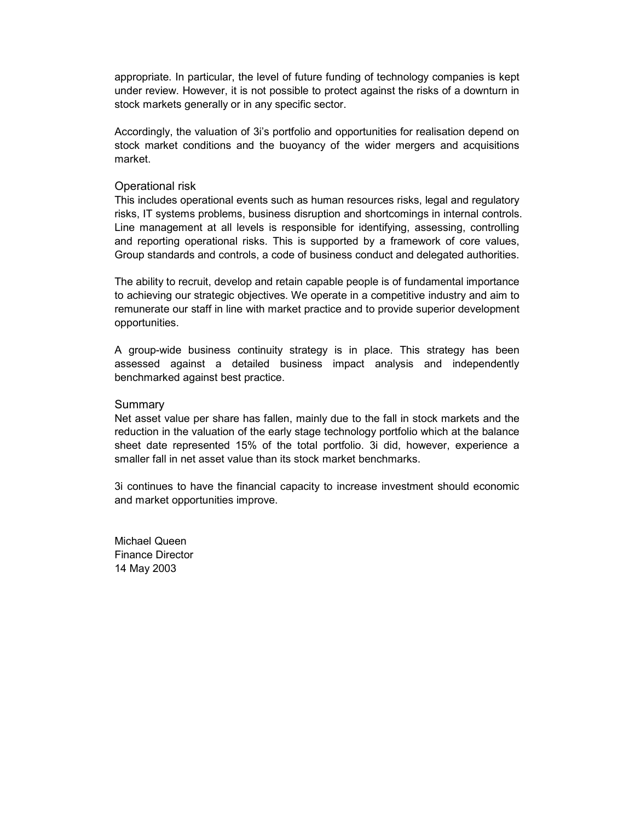appropriate. In particular, the level of future funding of technology companies is kept under review. However, it is not possible to protect against the risks of a downturn in stock markets generally or in any specific sector.

Accordingly, the valuation of 3i's portfolio and opportunities for realisation depend on stock market conditions and the buoyancy of the wider mergers and acquisitions market.

#### Operational risk

This includes operational events such as human resources risks, legal and regulatory risks, IT systems problems, business disruption and shortcomings in internal controls. Line management at all levels is responsible for identifying, assessing, controlling and reporting operational risks. This is supported by a framework of core values, Group standards and controls, a code of business conduct and delegated authorities.

The ability to recruit, develop and retain capable people is of fundamental importance to achieving our strategic objectives. We operate in a competitive industry and aim to remunerate our staff in line with market practice and to provide superior development opportunities.

A group-wide business continuity strategy is in place. This strategy has been assessed against a detailed business impact analysis and independently benchmarked against best practice.

#### **Summary**

Net asset value per share has fallen, mainly due to the fall in stock markets and the reduction in the valuation of the early stage technology portfolio which at the balance sheet date represented 15% of the total portfolio. 3i did, however, experience a smaller fall in net asset value than its stock market benchmarks.

3i continues to have the financial capacity to increase investment should economic and market opportunities improve.

Michael Queen Finance Director 14 May 2003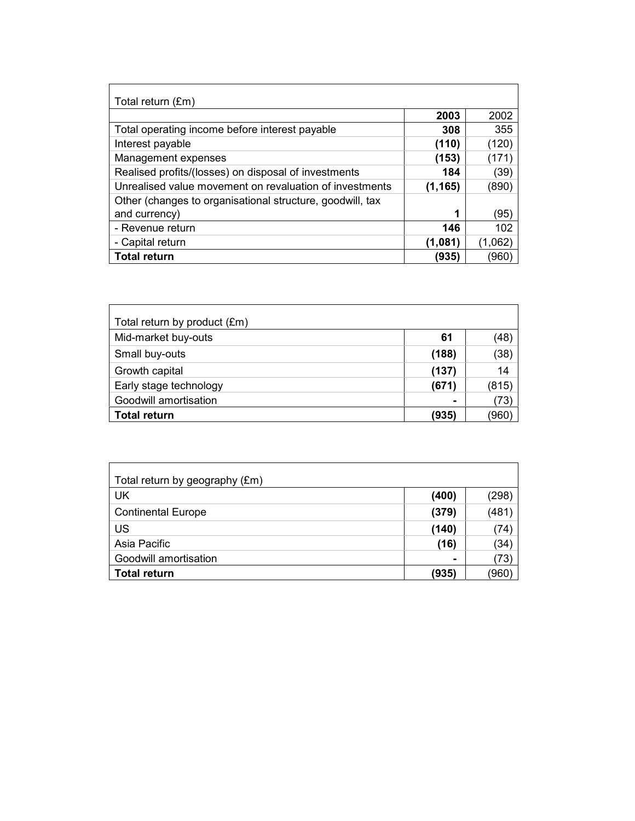| Total return (£m)                                         |          |         |
|-----------------------------------------------------------|----------|---------|
|                                                           | 2003     | 2002    |
| Total operating income before interest payable            | 308      | 355     |
| Interest payable                                          | (110)    | (120)   |
| Management expenses                                       | (153)    | (171)   |
| Realised profits/(losses) on disposal of investments      | 184      | (39)    |
| Unrealised value movement on revaluation of investments   | (1, 165) | (890)   |
| Other (changes to organisational structure, goodwill, tax |          |         |
| and currency)                                             |          | (95)    |
| - Revenue return                                          | 146      | 102     |
| - Capital return                                          | (1,081)  | (1,062) |
| <b>Total return</b>                                       | (935)    | 960)    |

| Total return by product (£m) |       |       |
|------------------------------|-------|-------|
| Mid-market buy-outs          | 61    | (48)  |
| Small buy-outs               | (188) | (38)  |
| Growth capital               | (137) | 14    |
| Early stage technology       | (671) | (815) |
| Goodwill amortisation        |       | (73)  |
| <b>Total return</b>          | (935) | 960'  |

| Total return by geography (£m) |       |       |
|--------------------------------|-------|-------|
| UK                             | (400) | (298) |
| <b>Continental Europe</b>      | (379) | (481) |
| <b>US</b>                      | (140) | (74)  |
| Asia Pacific                   | (16)  | (34)  |
| Goodwill amortisation          |       | (73)  |
| <b>Total return</b>            | (935) | 960   |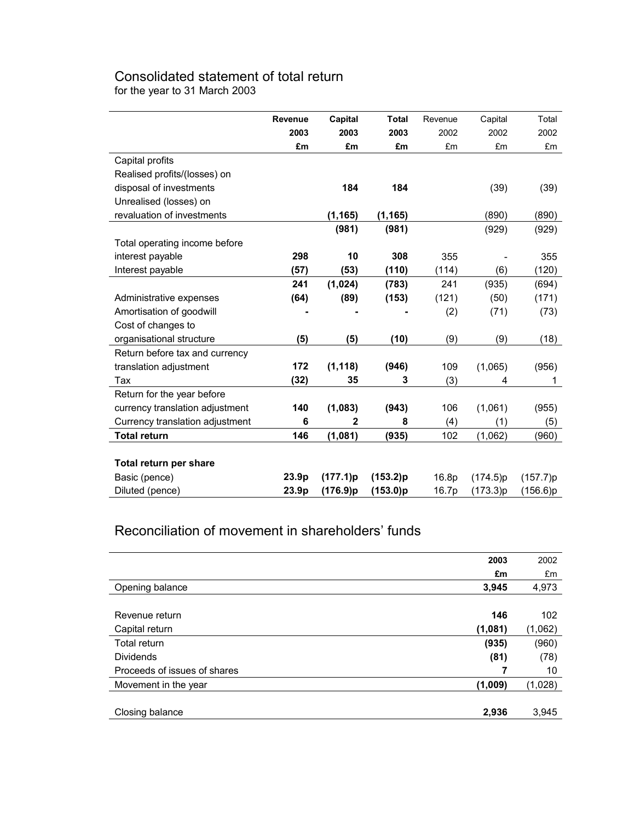## Consolidated statement of total return

for the year to 31 March 2003

|                                 | Revenue | Capital  | <b>Total</b> | Revenue | Capital  | Total    |
|---------------------------------|---------|----------|--------------|---------|----------|----------|
|                                 | 2003    | 2003     | 2003         | 2002    | 2002     | 2002     |
|                                 | £m      | £m       | £m           | £m      | £m       | £m       |
| Capital profits                 |         |          |              |         |          |          |
| Realised profits/(losses) on    |         |          |              |         |          |          |
| disposal of investments         |         | 184      | 184          |         | (39)     | (39)     |
| Unrealised (losses) on          |         |          |              |         |          |          |
| revaluation of investments      |         | (1, 165) | (1, 165)     |         | (890)    | (890)    |
|                                 |         | (981)    | (981)        |         | (929)    | (929)    |
| Total operating income before   |         |          |              |         |          |          |
| interest payable                | 298     | 10       | 308          | 355     |          | 355      |
| Interest payable                | (57)    | (53)     | (110)        | (114)   | (6)      | (120)    |
|                                 | 241     | (1,024)  | (783)        | 241     | (935)    | (694)    |
| Administrative expenses         | (64)    | (89)     | (153)        | (121)   | (50)     | (171)    |
| Amortisation of goodwill        |         |          |              | (2)     | (71)     | (73)     |
| Cost of changes to              |         |          |              |         |          |          |
| organisational structure        | (5)     | (5)      | (10)         | (9)     | (9)      | (18)     |
| Return before tax and currency  |         |          |              |         |          |          |
| translation adjustment          | 172     | (1, 118) | (946)        | 109     | (1,065)  | (956)    |
| Tax                             | (32)    | 35       | 3            | (3)     | 4        | 1        |
| Return for the year before      |         |          |              |         |          |          |
| currency translation adjustment | 140     | (1,083)  | (943)        | 106     | (1,061)  | (955)    |
| Currency translation adjustment | 6       | 2        | 8            | (4)     | (1)      | (5)      |
| <b>Total return</b>             | 146     | (1,081)  | (935)        | 102     | (1,062)  | (960)    |
|                                 |         |          |              |         |          |          |
| Total return per share          |         |          |              |         |          |          |
| Basic (pence)                   | 23.9p   | (177.1)p | (153.2)p     | 16.8p   | (174.5)p | (157.7)p |
| Diluted (pence)                 | 23.9p   | (176.9)p | (153.0)p     | 16.7p   | (173.3)p | (156.6)p |

## Reconciliation of movement in shareholders' funds

|                              | 2003    | 2002    |
|------------------------------|---------|---------|
|                              | £m      | £m      |
| Opening balance              | 3,945   | 4,973   |
|                              |         |         |
| Revenue return               | 146     | 102     |
| Capital return               | (1,081) | (1,062) |
| Total return                 | (935)   | (960)   |
| <b>Dividends</b>             | (81)    | (78)    |
| Proceeds of issues of shares | 7       | 10      |
| Movement in the year         | (1,009) | (1,028) |
|                              |         |         |
| Closing balance              | 2,936   | 3,945   |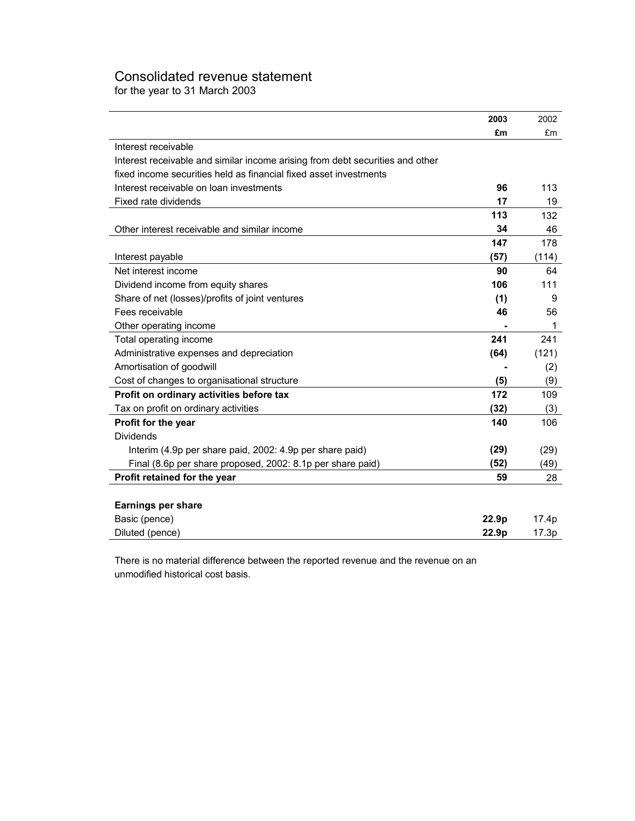## Consolidated revenue statement

for the year to 31 March 2003

|                                                                               | 2003              | 2002  |
|-------------------------------------------------------------------------------|-------------------|-------|
|                                                                               | £m                | £m    |
| Interest receivable                                                           |                   |       |
| Interest receivable and similar income arising from debt securities and other |                   |       |
| fixed income securities held as financial fixed asset investments             |                   |       |
| Interest receivable on loan investments                                       | 96                | 113   |
| Fixed rate dividends                                                          | 17                | 19    |
|                                                                               | 113               | 132   |
| Other interest receivable and similar income                                  | 34                | 46    |
|                                                                               | 147               | 178   |
| Interest payable                                                              | (57)              | (114) |
| Net interest income                                                           | 90                | 64    |
| Dividend income from equity shares                                            | 106               | 111   |
| Share of net (losses)/profits of joint ventures                               | (1)               | 9     |
| Fees receivable                                                               | 46                | 56    |
| Other operating income                                                        |                   | 1     |
| Total operating income                                                        | 241               | 241   |
| Administrative expenses and depreciation                                      | (64)              | (121) |
| Amortisation of goodwill                                                      |                   | (2)   |
| Cost of changes to organisational structure                                   | (5)               | (9)   |
| Profit on ordinary activities before tax                                      | 172               | 109   |
| Tax on profit on ordinary activities                                          | (32)              | (3)   |
| Profit for the year                                                           | 140               | 106   |
| <b>Dividends</b>                                                              |                   |       |
| Interim (4.9p per share paid, 2002: 4.9p per share paid)                      | (29)              | (29)  |
| Final (8.6p per share proposed, 2002: 8.1p per share paid)                    | (52)              | (49)  |
| Profit retained for the year                                                  | 59                | 28    |
|                                                                               |                   |       |
| Earnings per share                                                            |                   |       |
| Basic (pence)                                                                 | 22.9 <sub>p</sub> | 17.4p |
| Diluted (pence)                                                               | 22.9p             | 17.3p |

There is no material difference between the reported revenue and the revenue on an unmodified historical cost basis.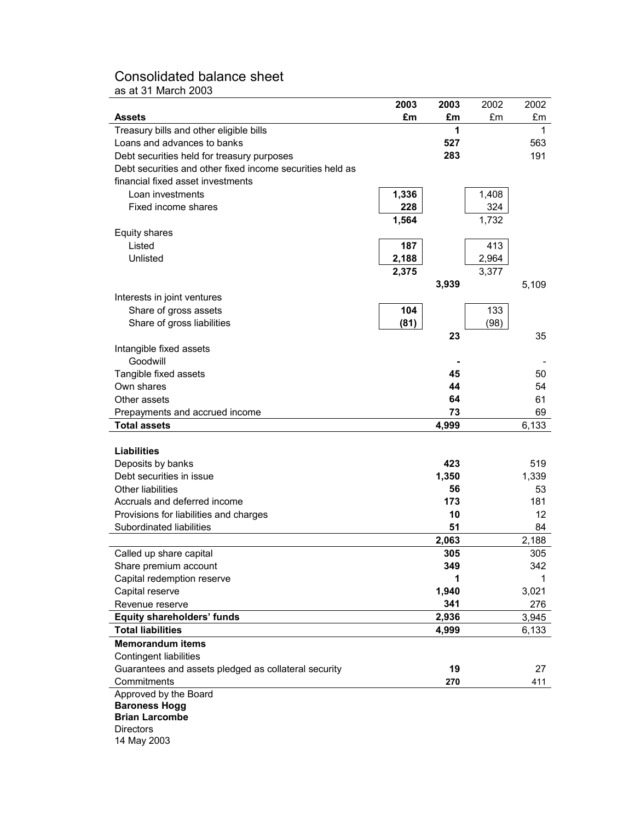## Consolidated balance sheet

as at 31 March 2003

|                                                           | 2003  | 2003  | 2002  | 2002  |
|-----------------------------------------------------------|-------|-------|-------|-------|
| Assets                                                    | £m    | £m    | £m    | £m    |
| Treasury bills and other eligible bills                   |       | 1     |       | 1     |
| Loans and advances to banks                               |       | 527   |       | 563   |
| Debt securities held for treasury purposes                |       | 283   |       | 191   |
| Debt securities and other fixed income securities held as |       |       |       |       |
| financial fixed asset investments                         |       |       |       |       |
| Loan investments                                          | 1,336 |       | 1,408 |       |
| Fixed income shares                                       | 228   |       | 324   |       |
|                                                           | 1,564 |       | 1,732 |       |
| Equity shares                                             |       |       |       |       |
| Listed                                                    | 187   |       | 413   |       |
| Unlisted                                                  | 2,188 |       | 2,964 |       |
|                                                           | 2,375 |       | 3,377 |       |
|                                                           |       | 3,939 |       | 5,109 |
| Interests in joint ventures                               |       |       |       |       |
| Share of gross assets                                     | 104   |       | 133   |       |
| Share of gross liabilities                                | (81)  |       | (98)  |       |
|                                                           |       | 23    |       | 35    |
| Intangible fixed assets<br>Goodwill                       |       |       |       |       |
| Tangible fixed assets                                     |       | 45    |       | 50    |
| Own shares                                                |       | 44    |       | 54    |
| Other assets                                              |       | 64    |       | 61    |
| Prepayments and accrued income                            |       | 73    |       | 69    |
| <b>Total assets</b>                                       |       | 4,999 |       | 6,133 |
|                                                           |       |       |       |       |
| <b>Liabilities</b>                                        |       |       |       |       |
| Deposits by banks                                         |       | 423   |       | 519   |
| Debt securities in issue                                  |       | 1,350 |       | 1,339 |
| <b>Other liabilities</b>                                  |       | 56    |       | 53    |
| Accruals and deferred income                              |       | 173   |       | 181   |
| Provisions for liabilities and charges                    |       | 10    |       | 12    |
| Subordinated liabilities                                  |       | 51    |       | 84    |
|                                                           |       | 2,063 |       | 2,188 |
| Called up share capital                                   |       | 305   |       | 305   |
| Share premium account                                     |       | 349   |       | 342   |
| Capital redemption reserve                                |       | 1     |       | 1     |
| Capital reserve                                           |       | 1,940 |       | 3,021 |
| Revenue reserve                                           |       | 341   |       | 276   |
| <b>Equity shareholders' funds</b>                         |       | 2,936 |       | 3,945 |
| <b>Total liabilities</b>                                  |       | 4,999 |       | 6,133 |
| <b>Memorandum items</b>                                   |       |       |       |       |
| Contingent liabilities                                    |       |       |       |       |
| Guarantees and assets pledged as collateral security      |       | 19    |       | 27    |
| Commitments                                               |       | 270   |       | 411   |
| Approved by the Board<br><b>Baroness Hogg</b>             |       |       |       |       |
| <b>Brian Larcombe</b>                                     |       |       |       |       |
| <b>Directors</b>                                          |       |       |       |       |
| 14 May 2003                                               |       |       |       |       |
|                                                           |       |       |       |       |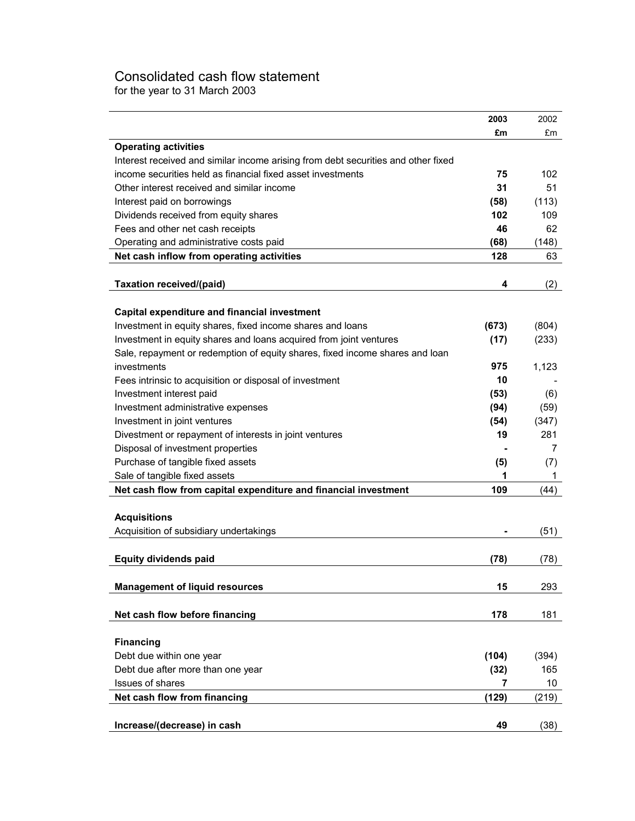## Consolidated cash flow statement

for the year to 31 March 2003

|                                                                                   | 2003  | 2002  |
|-----------------------------------------------------------------------------------|-------|-------|
|                                                                                   | £m    | £m    |
| <b>Operating activities</b>                                                       |       |       |
| Interest received and similar income arising from debt securities and other fixed |       |       |
| income securities held as financial fixed asset investments                       | 75    | 102   |
| Other interest received and similar income                                        | 31    | 51    |
| Interest paid on borrowings                                                       | (58)  | (113) |
| Dividends received from equity shares                                             | 102   | 109   |
| Fees and other net cash receipts                                                  | 46    | 62    |
| Operating and administrative costs paid                                           | (68)  | (148) |
| Net cash inflow from operating activities                                         | 128   | 63    |
|                                                                                   |       |       |
| Taxation received/(paid)                                                          | 4     | (2)   |
|                                                                                   |       |       |
| Capital expenditure and financial investment                                      |       |       |
| Investment in equity shares, fixed income shares and loans                        | (673) | (804) |
| Investment in equity shares and loans acquired from joint ventures                | (17)  | (233) |
| Sale, repayment or redemption of equity shares, fixed income shares and loan      |       |       |
| investments                                                                       | 975   | 1,123 |
| Fees intrinsic to acquisition or disposal of investment                           | 10    |       |
| Investment interest paid                                                          | (53)  | (6)   |
| Investment administrative expenses                                                | (94)  | (59)  |
| Investment in joint ventures                                                      | (54)  | (347) |
| Divestment or repayment of interests in joint ventures                            | 19    | 281   |
| Disposal of investment properties                                                 |       | 7     |
| Purchase of tangible fixed assets                                                 | (5)   | (7)   |
| Sale of tangible fixed assets                                                     | 1     | 1     |
| Net cash flow from capital expenditure and financial investment                   | 109   | (44)  |
|                                                                                   |       |       |
| <b>Acquisitions</b>                                                               |       |       |
| Acquisition of subsidiary undertakings                                            |       | (51)  |
|                                                                                   |       |       |
| <b>Equity dividends paid</b>                                                      | (78)  | (78)  |
|                                                                                   |       |       |
| <b>Management of liquid resources</b>                                             | 15    | 293   |
|                                                                                   |       |       |
| Net cash flow before financing                                                    | 178   | 181   |
|                                                                                   |       |       |
| <b>Financing</b>                                                                  |       |       |
| Debt due within one year                                                          | (104) | (394) |
| Debt due after more than one year                                                 | (32)  | 165   |
| Issues of shares                                                                  | 7     | 10    |
| Net cash flow from financing                                                      | (129) | (219) |
|                                                                                   |       |       |
| Increase/(decrease) in cash                                                       | 49    | (38)  |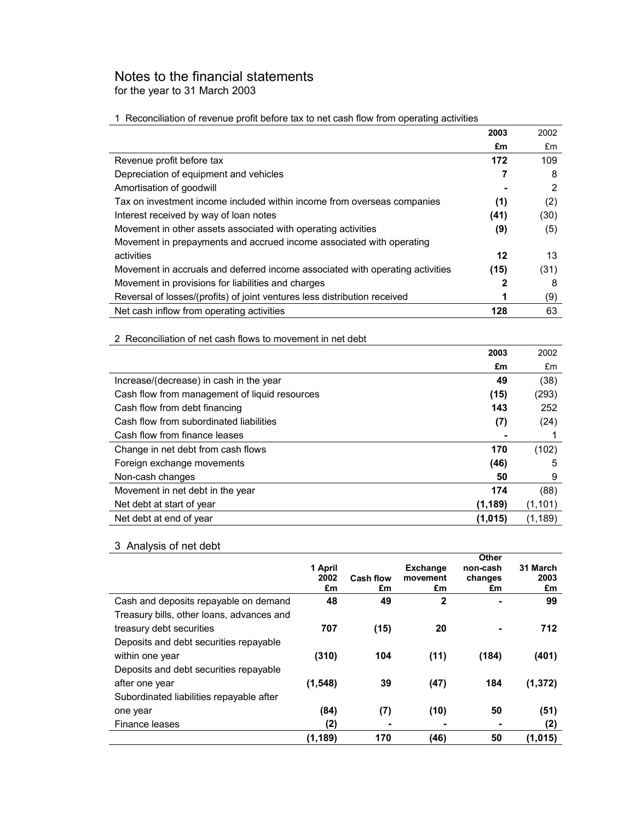## Notes to the financial statements

for the year to 31 March 2003

#### 1 Reconciliation of revenue profit before tax to net cash flow from operating activities

|                                                                               | 2003 | 2002 |
|-------------------------------------------------------------------------------|------|------|
|                                                                               | £m   | £m   |
| Revenue profit before tax                                                     | 172  | 109  |
| Depreciation of equipment and vehicles                                        |      | 8    |
| Amortisation of goodwill                                                      |      | 2    |
| Tax on investment income included within income from overseas companies       | (1)  | (2)  |
| Interest received by way of loan notes                                        | (41) | (30) |
| Movement in other assets associated with operating activities                 | (9)  | (5)  |
| Movement in prepayments and accrued income associated with operating          |      |      |
| activities                                                                    | 12   | 13   |
| Movement in accruals and deferred income associated with operating activities | (15) | (31) |
| Movement in provisions for liabilities and charges                            | 2    | 8    |
| Reversal of losses/(profits) of joint ventures less distribution received     | 1    | (9)  |
| Net cash inflow from operating activities                                     | 128  | 63   |

#### 2 Reconciliation of net cash flows to movement in net debt

|                                               | 2003     | 2002     |
|-----------------------------------------------|----------|----------|
|                                               | £m       | £m       |
| Increase/(decrease) in cash in the year       | 49       | (38)     |
| Cash flow from management of liquid resources | (15)     | (293)    |
| Cash flow from debt financing                 | 143      | 252      |
| Cash flow from subordinated liabilities       | (7)      | (24)     |
| Cash flow from finance leases                 |          |          |
| Change in net debt from cash flows            | 170      | (102)    |
| Foreign exchange movements                    | (46)     | 5        |
| Non-cash changes                              | 50       | 9        |
| Movement in net debt in the year              | 174      | (88)     |
| Net debt at start of year                     | (1, 189) | (1, 101) |
| Net debt at end of year                       | (1,015)  | (1, 189) |

### 3 Analysis of net debt

|                                           |          |                  |                 | Other    |          |
|-------------------------------------------|----------|------------------|-----------------|----------|----------|
|                                           | 1 April  |                  | <b>Exchange</b> | non-cash | 31 March |
|                                           | 2002     | <b>Cash flow</b> | movement        | changes  | 2003     |
|                                           | £m       | £m               | £m              | £m       | £m       |
| Cash and deposits repayable on demand     | 48       | 49               | $\mathbf{2}$    |          | 99       |
| Treasury bills, other loans, advances and |          |                  |                 |          |          |
| treasury debt securities                  | 707      | (15)             | 20              |          | 712      |
| Deposits and debt securities repayable    |          |                  |                 |          |          |
| within one year                           | (310)    | 104              | (11)            | (184)    | (401)    |
| Deposits and debt securities repayable    |          |                  |                 |          |          |
| after one year                            | (1, 548) | 39               | (47)            | 184      | (1, 372) |
| Subordinated liabilities repayable after  |          |                  |                 |          |          |
| one year                                  | (84)     | (7)              | (10)            | 50       | (51)     |
| Finance leases                            | (2)      | ۰                | ۰               | ۰        | (2)      |
|                                           | (1, 189) | 170              | (46)            | 50       | (1,015)  |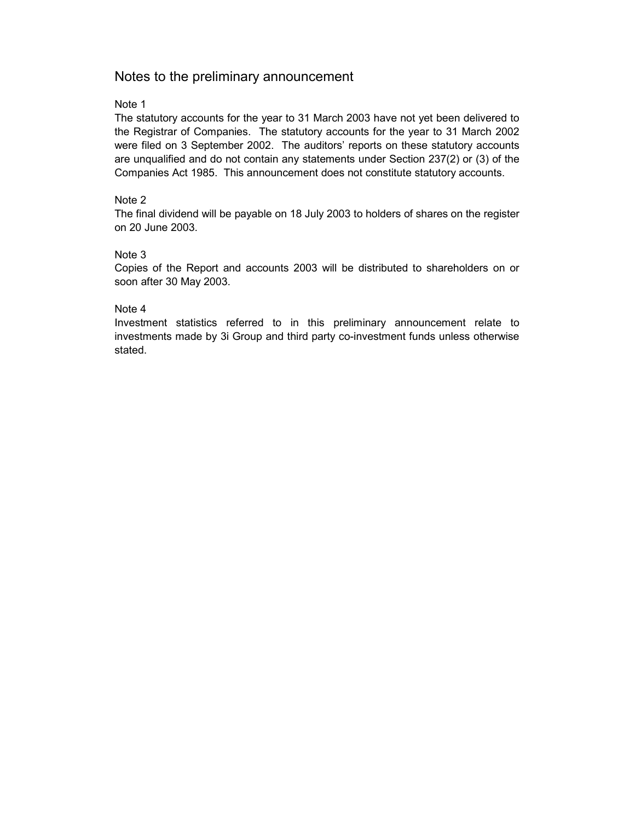### Notes to the preliminary announcement

#### Note 1

The statutory accounts for the year to 31 March 2003 have not yet been delivered to the Registrar of Companies. The statutory accounts for the year to 31 March 2002 were filed on 3 September 2002. The auditors' reports on these statutory accounts are unqualified and do not contain any statements under Section 237(2) or (3) of the Companies Act 1985. This announcement does not constitute statutory accounts.

#### Note 2

The final dividend will be payable on 18 July 2003 to holders of shares on the register on 20 June 2003.

#### Note 3

Copies of the Report and accounts 2003 will be distributed to shareholders on or soon after 30 May 2003.

#### Note 4

Investment statistics referred to in this preliminary announcement relate to investments made by 3i Group and third party co-investment funds unless otherwise stated.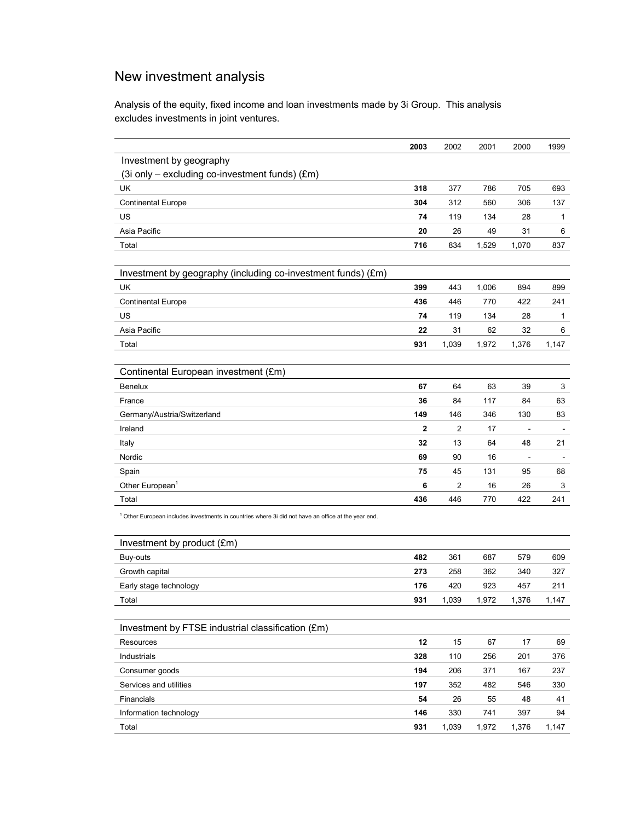## New investment analysis

Analysis of the equity, fixed income and loan investments made by 3i Group. This analysis excludes investments in joint ventures.

|                                                                                                                | 2003         | 2002           | 2001  | 2000  | 1999  |
|----------------------------------------------------------------------------------------------------------------|--------------|----------------|-------|-------|-------|
| Investment by geography                                                                                        |              |                |       |       |       |
| (3i only - excluding co-investment funds) (£m)                                                                 |              |                |       |       |       |
| UK                                                                                                             | 318          | 377            | 786   | 705   | 693   |
| <b>Continental Europe</b>                                                                                      | 304          | 312            | 560   | 306   | 137   |
| US                                                                                                             | 74           | 119            | 134   | 28    | 1     |
| Asia Pacific                                                                                                   | 20           | 26             | 49    | 31    | 6     |
| Total                                                                                                          | 716          | 834            | 1,529 | 1,070 | 837   |
|                                                                                                                |              |                |       |       |       |
| Investment by geography (including co-investment funds) (£m)                                                   |              |                |       |       |       |
| UK                                                                                                             | 399          | 443            | 1,006 | 894   | 899   |
| <b>Continental Europe</b>                                                                                      | 436          | 446            | 770   | 422   | 241   |
| US                                                                                                             | 74           | 119            | 134   | 28    | 1     |
| Asia Pacific                                                                                                   | 22           | 31             | 62    | 32    | 6     |
| Total                                                                                                          | 931          | 1,039          | 1,972 | 1,376 | 1,147 |
|                                                                                                                |              |                |       |       |       |
| Continental European investment (£m)                                                                           |              |                |       |       |       |
| <b>Benelux</b>                                                                                                 | 67           | 64             | 63    | 39    | 3     |
| France                                                                                                         | 36           | 84             | 117   | 84    | 63    |
| Germany/Austria/Switzerland                                                                                    | 149          | 146            | 346   | 130   | 83    |
| Ireland                                                                                                        | $\mathbf{2}$ | $\overline{2}$ | 17    |       |       |
| Italy                                                                                                          | 32           | 13             | 64    | 48    | 21    |
| Nordic                                                                                                         | 69           | 90             | 16    |       |       |
| Spain                                                                                                          | 75           | 45             | 131   | 95    | 68    |
| Other European <sup>1</sup>                                                                                    | 6            | $\overline{c}$ | 16    | 26    | 3     |
| Total                                                                                                          | 436          | 446            | 770   | 422   | 241   |
| <sup>1</sup> Other European includes investments in countries where 3i did not have an office at the year end. |              |                |       |       |       |
|                                                                                                                |              |                |       |       |       |
| Investment by product (£m)                                                                                     |              |                |       |       |       |
| Buy-outs                                                                                                       | 482          | 361            | 687   | 579   | 609   |
| Growth capital                                                                                                 | 273          | 258            | 362   | 340   | 327   |
| Early stage technology                                                                                         | 176          | 420            | 923   | 457   | 211   |
| Total                                                                                                          | 931          | 1,039          | 1,972 | 1,376 | 1,147 |
|                                                                                                                |              |                |       |       |       |
| Investment by FTSE industrial classification (£m)                                                              |              |                |       |       |       |
| Resources                                                                                                      | 12           | 15             | 67    | 17    | 69    |
| Industrials                                                                                                    | 328          | 110            | 256   | 201   | 376   |
| Consumer goods                                                                                                 | 194          | 206            | 371   | 167   | 237   |
| Services and utilities                                                                                         | 197          | 352            | 482   | 546   | 330   |
| Financials                                                                                                     | 54           | 26             | 55    | 48    | 41    |
| Information technology                                                                                         | 146          | 330            | 741   | 397   | 94    |
| Total                                                                                                          | 931          | 1,039          | 1,972 | 1,376 | 1,147 |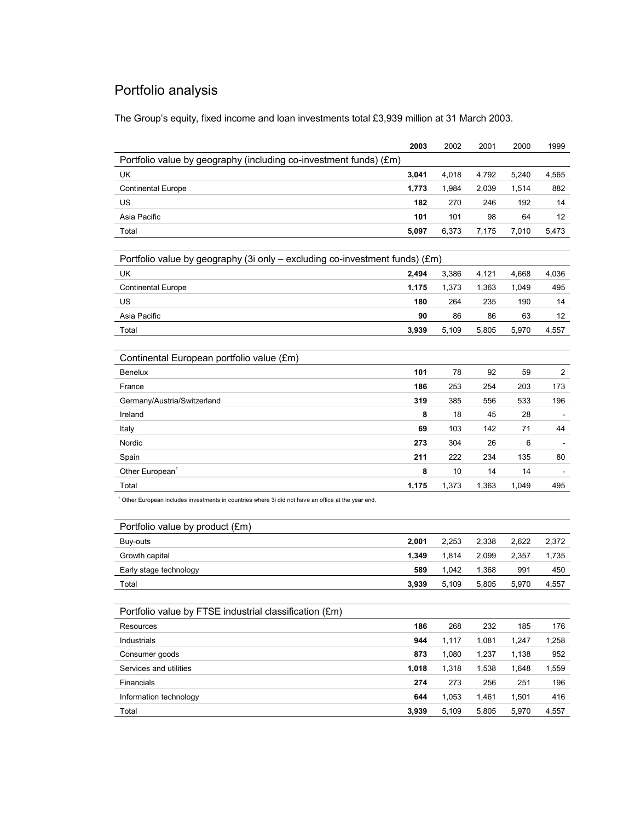# Portfolio analysis

The Group's equity, fixed income and loan investments total £3,939 million at 31 March 2003.

|                                                                                                                | 2003  | 2002  | 2001  | 2000  | 1999                     |
|----------------------------------------------------------------------------------------------------------------|-------|-------|-------|-------|--------------------------|
| Portfolio value by geography (including co-investment funds) (£m)                                              |       |       |       |       |                          |
| UK                                                                                                             | 3,041 | 4,018 | 4,792 | 5,240 | 4,565                    |
| <b>Continental Europe</b>                                                                                      | 1,773 | 1,984 | 2,039 | 1,514 | 882                      |
| US                                                                                                             | 182   | 270   | 246   | 192   | 14                       |
| Asia Pacific                                                                                                   | 101   | 101   | 98    | 64    | 12                       |
| Total                                                                                                          | 5,097 | 6,373 | 7,175 | 7,010 | 5,473                    |
|                                                                                                                |       |       |       |       |                          |
| Portfolio value by geography (3i only – excluding co-investment funds) (£m)                                    |       |       |       |       |                          |
| UK                                                                                                             | 2,494 | 3,386 | 4,121 | 4,668 | 4,036                    |
| <b>Continental Europe</b>                                                                                      | 1,175 | 1,373 | 1,363 | 1,049 | 495                      |
| US                                                                                                             | 180   | 264   | 235   | 190   | 14                       |
| Asia Pacific                                                                                                   | 90    | 86    | 86    | 63    | 12                       |
| Total                                                                                                          | 3,939 | 5,109 | 5,805 | 5,970 | 4,557                    |
|                                                                                                                |       |       |       |       |                          |
| Continental European portfolio value (£m)                                                                      |       |       |       |       |                          |
| <b>Benelux</b>                                                                                                 | 101   | 78    | 92    | 59    | $\overline{2}$           |
| France                                                                                                         | 186   | 253   | 254   | 203   | 173                      |
| Germany/Austria/Switzerland                                                                                    | 319   | 385   | 556   | 533   | 196                      |
| Ireland                                                                                                        | 8     | 18    | 45    | 28    | $\overline{\phantom{a}}$ |
| Italy                                                                                                          | 69    | 103   | 142   | 71    | 44                       |
| Nordic                                                                                                         | 273   | 304   | 26    | 6     |                          |
| Spain                                                                                                          | 211   | 222   | 234   | 135   | 80                       |
| Other European <sup>1</sup>                                                                                    | 8     | 10    | 14    | 14    |                          |
| Total                                                                                                          | 1,175 | 1,373 | 1,363 | 1,049 | 495                      |
| <sup>1</sup> Other European includes investments in countries where 3i did not have an office at the year end. |       |       |       |       |                          |
| Portfolio value by product (£m)                                                                                |       |       |       |       |                          |
| Buy-outs                                                                                                       | 2,001 | 2,253 | 2,338 | 2,622 | 2,372                    |
| Growth capital                                                                                                 | 1,349 | 1,814 | 2,099 | 2,357 | 1,735                    |
| Early stage technology                                                                                         | 589   | 1,042 | 1,368 | 991   | 450                      |
| Total                                                                                                          | 3,939 | 5,109 | 5,805 | 5,970 | 4,557                    |
|                                                                                                                |       |       |       |       |                          |
| Portfolio value by FTSE industrial classification (£m)                                                         |       |       |       |       |                          |
| Resources                                                                                                      | 186   | 268   | 232   | 185   | 176                      |
| Industrials                                                                                                    | 944   | 1,117 | 1,081 | 1,247 | 1,258                    |
| Consumer goods                                                                                                 | 873   | 1,080 | 1,237 | 1,138 | 952                      |
| Services and utilities                                                                                         | 1,018 | 1,318 | 1,538 | 1,648 | 1,559                    |
| Financials                                                                                                     | 274   | 273   | 256   | 251   | 196                      |
| Information technology                                                                                         | 644   | 1,053 | 1,461 | 1,501 | 416                      |
| Total                                                                                                          | 3,939 | 5,109 | 5,805 | 5,970 | 4,557                    |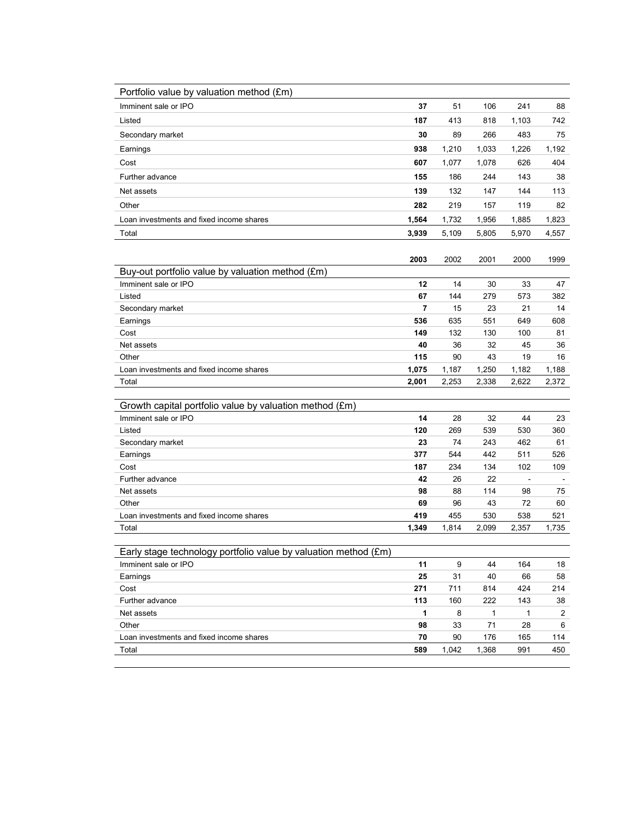| Portfolio value by valuation method (£m)                        |                |       |       |       |       |
|-----------------------------------------------------------------|----------------|-------|-------|-------|-------|
| Imminent sale or IPO                                            | 37             | 51    | 106   | 241   | 88    |
| Listed                                                          | 187            | 413   | 818   | 1,103 | 742   |
| Secondary market                                                | 30             | 89    | 266   | 483   | 75    |
| Earnings                                                        | 938            | 1,210 | 1,033 | 1,226 | 1,192 |
| Cost                                                            | 607            | 1,077 | 1,078 | 626   | 404   |
| Further advance                                                 | 155            | 186   | 244   | 143   | 38    |
| Net assets                                                      | 139            | 132   | 147   | 144   | 113   |
| Other                                                           | 282            | 219   | 157   | 119   | 82    |
| Loan investments and fixed income shares                        | 1,564          | 1,732 | 1,956 | 1,885 | 1,823 |
| Total                                                           | 3,939          | 5,109 | 5,805 | 5,970 | 4,557 |
|                                                                 |                |       |       |       |       |
|                                                                 | 2003           | 2002  | 2001  | 2000  | 1999  |
| Buy-out portfolio value by valuation method (£m)                |                |       |       |       |       |
| Imminent sale or IPO                                            | 12             | 14    | 30    | 33    | 47    |
| Listed                                                          | 67             | 144   | 279   | 573   | 382   |
| Secondary market                                                | $\overline{7}$ | 15    | 23    | 21    | 14    |
| Earnings                                                        | 536            | 635   | 551   | 649   | 608   |
| Cost                                                            | 149            | 132   | 130   | 100   | 81    |
| Net assets                                                      | 40             | 36    | 32    | 45    | 36    |
| Other                                                           | 115            | 90    | 43    | 19    | 16    |
| Loan investments and fixed income shares                        | 1,075          | 1,187 | 1,250 | 1,182 | 1,188 |
| Total                                                           | 2,001          | 2,253 | 2,338 | 2,622 | 2,372 |
| Growth capital portfolio value by valuation method (£m)         |                |       |       |       |       |
| Imminent sale or IPO                                            | 14             | 28    | 32    | 44    | 23    |
| Listed                                                          | 120            | 269   | 539   | 530   | 360   |
| Secondary market                                                | 23             | 74    | 243   | 462   | 61    |
| Earnings                                                        | 377            | 544   | 442   | 511   | 526   |
| Cost                                                            | 187            | 234   | 134   | 102   | 109   |
| Further advance                                                 | 42             | 26    | 22    |       |       |
| Net assets                                                      | 98             | 88    | 114   | 98    | 75    |
| Other                                                           | 69             | 96    | 43    | 72    | 60    |
| Loan investments and fixed income shares                        | 419            | 455   | 530   | 538   | 521   |
| Total                                                           | 1,349          | 1,814 | 2,099 | 2,357 | 1,735 |
|                                                                 |                |       |       |       |       |
| Early stage technology portfolio value by valuation method (£m) |                |       |       |       |       |
| Imminent sale or IPO                                            | 11             | 9     | 44    | 164   | 18    |
| Earnings                                                        | 25             | 31    | 40    | 66    | 58    |
| Cost                                                            | 271            | 711   | 814   | 424   | 214   |
| Further advance                                                 | 113            | 160   | 222   | 143   | 38    |
| Net assets                                                      | 1              | 8     | 1     | 1     | 2     |
| Other                                                           | 98             | 33    | 71    | 28    | 6     |
| Loan investments and fixed income shares                        | 70             | 90    | 176   | 165   | 114   |
| Total                                                           | 589            | 1,042 | 1,368 | 991   | 450   |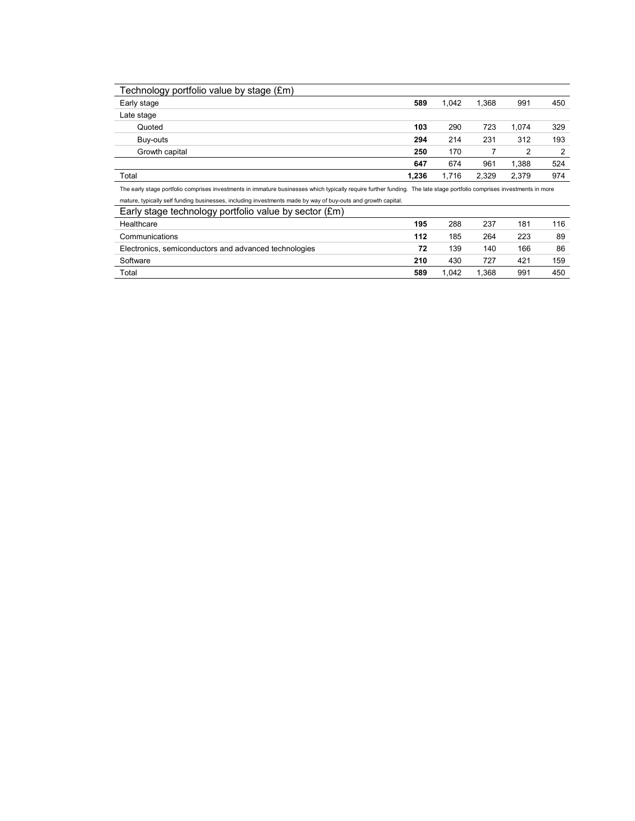| Technology portfolio value by stage (£m) |       |       |       |       |     |
|------------------------------------------|-------|-------|-------|-------|-----|
| Early stage                              | 589   | 1.042 | 1.368 | 991   | 450 |
| Late stage                               |       |       |       |       |     |
| Quoted                                   | 103   | 290   | 723   | 1.074 | 329 |
| Buy-outs                                 | 294   | 214   | 231   | 312   | 193 |
| Growth capital                           | 250   | 170   |       | 2     | 2   |
|                                          | 647   | 674   | 961   | 1,388 | 524 |
| Total                                    | 1,236 | 1,716 | 2,329 | 2.379 | 974 |

The early stage portfolio comprises investments in immature businesses which typically require further funding. The late stage portfolio comprises investments in more mature, typically self funding businesses, including investments made by way of buy-outs and growth capital.

| mature, typically och furiality buonicooco, moluumiy hiveothichto maue by way or buy outo und growth capitul. |     |       |      |     |     |
|---------------------------------------------------------------------------------------------------------------|-----|-------|------|-----|-----|
| Early stage technology portfolio value by sector (£m)                                                         |     |       |      |     |     |
| Healthcare                                                                                                    | 195 | 288   | 237  | 181 | 116 |
| Communications                                                                                                | 112 | 185   | 264  | 223 | 89  |
| Electronics, semiconductors and advanced technologies                                                         | 72  | 139   | 140  | 166 | 86  |
| Software                                                                                                      | 210 | 430   | 727  | 421 | 159 |
| Total                                                                                                         | 589 | 1.042 | .368 | 991 | 450 |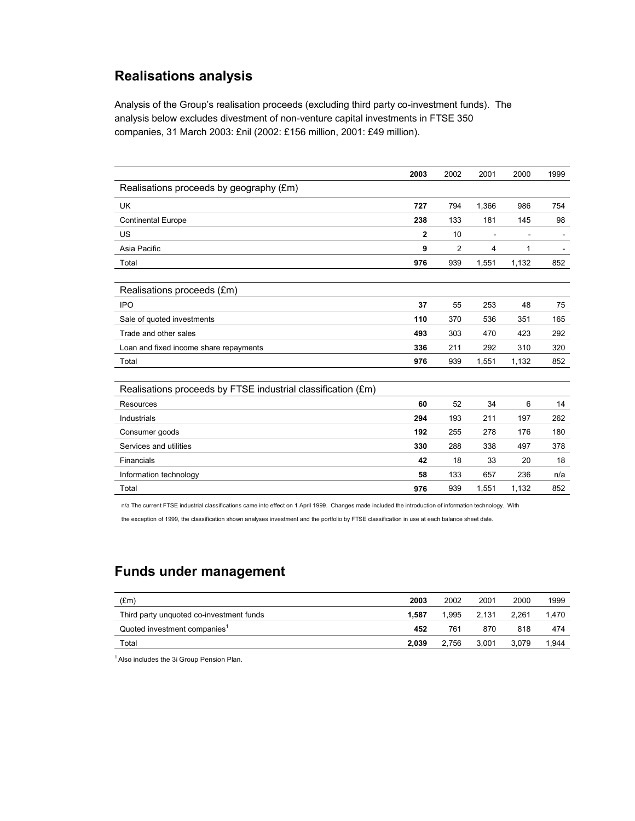## **Realisations analysis**

Analysis of the Group's realisation proceeds (excluding third party co-investment funds). The analysis below excludes divestment of non-venture capital investments in FTSE 350 companies, 31 March 2003: £nil (2002: £156 million, 2001: £49 million).

|                                                              | 2003         | 2002           | 2001  | 2000  | 1999 |
|--------------------------------------------------------------|--------------|----------------|-------|-------|------|
| Realisations proceeds by geography (£m)                      |              |                |       |       |      |
| <b>UK</b>                                                    | 727          | 794            | 1,366 | 986   | 754  |
| <b>Continental Europe</b>                                    | 238          | 133            | 181   | 145   | 98   |
| US                                                           | $\mathbf{2}$ | 10             |       |       |      |
| Asia Pacific                                                 | 9            | $\overline{2}$ | 4     | 1     |      |
| Total                                                        | 976          | 939            | 1,551 | 1,132 | 852  |
|                                                              |              |                |       |       |      |
| Realisations proceeds (£m)                                   |              |                |       |       |      |
| <b>IPO</b>                                                   | 37           | 55             | 253   | 48    | 75   |
| Sale of quoted investments                                   | 110          | 370            | 536   | 351   | 165  |
| Trade and other sales                                        | 493          | 303            | 470   | 423   | 292  |
| Loan and fixed income share repayments                       | 336          | 211            | 292   | 310   | 320  |
| Total                                                        | 976          | 939            | 1,551 | 1,132 | 852  |
|                                                              |              |                |       |       |      |
| Realisations proceeds by FTSE industrial classification (£m) |              |                |       |       |      |
| Resources                                                    | 60           | 52             | 34    | 6     | 14   |
| Industrials                                                  | 294          | 193            | 211   | 197   | 262  |
| Consumer goods                                               | 192          | 255            | 278   | 176   | 180  |
| Services and utilities                                       | 330          | 288            | 338   | 497   | 378  |
| Financials                                                   | 42           | 18             | 33    | 20    | 18   |
| Information technology                                       | 58           | 133            | 657   | 236   | n/a  |
| Total                                                        | 976          | 939            | 1,551 | 1,132 | 852  |

n/a The current FTSE industrial classifications came into effect on 1 April 1999. Changes made included the introduction of information technology. With

the exception of 1999, the classification shown analyses investment and the portfolio by FTSE classification in use at each balance sheet date.

## **Funds under management**

| (Em)                                     | 2003  | 2002  | 2001  | 2000  | 1999  |
|------------------------------------------|-------|-------|-------|-------|-------|
| Third party unquoted co-investment funds | 1.587 | 1.995 | 2.131 | 2.261 | 1.470 |
| Quoted investment companies <sup>1</sup> | 452   | 761   | 870   | 818   | 474   |
| Total                                    | 2.039 | 2.756 | 3.001 | 3.079 | 1.944 |

<sup>1</sup> Also includes the 3i Group Pension Plan.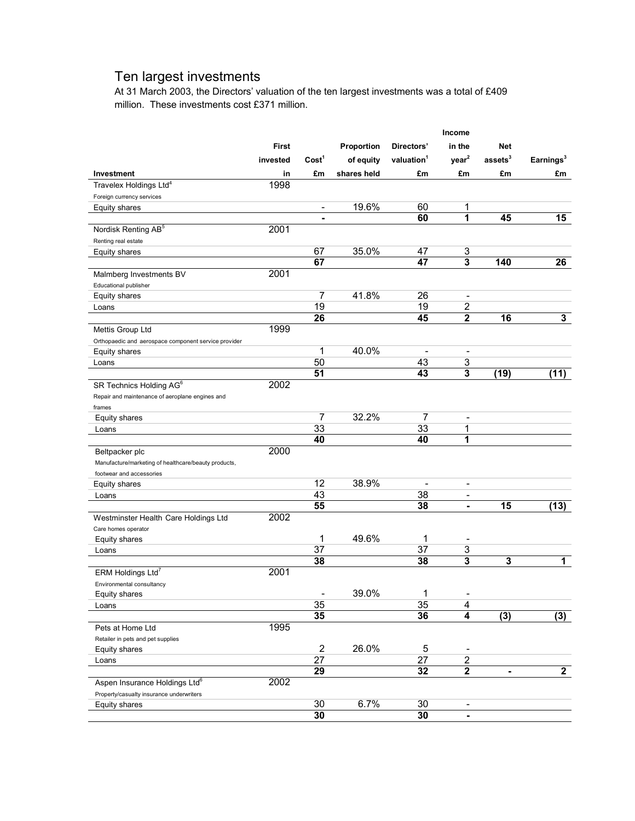## Ten largest investments

At 31 March 2003, the Directors' valuation of the ten largest investments was a total of £409 million. These investments cost £371 million.

|                                                      |              |                          |             |                          | Income                   |                  |                         |
|------------------------------------------------------|--------------|--------------------------|-------------|--------------------------|--------------------------|------------------|-------------------------|
|                                                      | <b>First</b> |                          | Proportion  | Directors'               | in the                   | Net              |                         |
|                                                      | invested     | Cost <sup>1</sup>        | of equity   | valuation <sup>1</sup>   | year <sup>2</sup>        | $\,$ assets $^3$ | Earnings <sup>3</sup>   |
| Investment                                           | in           | £m                       | shares held | £m                       | £m                       | £m               | £m                      |
| Travelex Holdings Ltd <sup>4</sup>                   | 1998         |                          |             |                          |                          |                  |                         |
| Foreign currency services                            |              |                          |             |                          |                          |                  |                         |
| <b>Equity shares</b>                                 |              | $\overline{\phantom{0}}$ | 19.6%       | 60                       | 1                        |                  |                         |
|                                                      |              | ۰                        |             | 60                       | 1                        | 45               | 15                      |
| Nordisk Renting AB <sup>5</sup>                      | 2001         |                          |             |                          |                          |                  |                         |
| Renting real estate                                  |              |                          |             |                          |                          |                  |                         |
| Equity shares                                        |              | 67                       | 35.0%       | 47                       | 3                        |                  |                         |
|                                                      |              | 67                       |             | 47                       | 3                        | 140              | 26                      |
| Malmberg Investments BV                              | 2001         |                          |             |                          |                          |                  |                         |
| Educational publisher                                |              |                          |             |                          |                          |                  |                         |
| Equity shares                                        |              | $\overline{7}$           | 41.8%       | 26                       | $\overline{\phantom{a}}$ |                  |                         |
| Loans                                                |              | 19                       |             | 19                       | 2                        |                  |                         |
|                                                      |              | 26                       |             | 45                       | $\overline{2}$           | $\overline{16}$  | $\overline{\mathbf{3}}$ |
| Mettis Group Ltd                                     | 1999         |                          |             |                          |                          |                  |                         |
| Orthopaedic and aerospace component service provider |              |                          |             |                          |                          |                  |                         |
| <b>Equity shares</b>                                 |              | 1                        | 40.0%       | $\overline{\phantom{a}}$ | $\overline{\phantom{a}}$ |                  |                         |
| Loans                                                |              | 50                       |             | 43                       | 3                        |                  |                         |
|                                                      |              | 51                       |             | 43                       | 3                        | (19)             | (11)                    |
| SR Technics Holding AG <sup>6</sup>                  | 2002         |                          |             |                          |                          |                  |                         |
| Repair and maintenance of aeroplane engines and      |              |                          |             |                          |                          |                  |                         |
| frames                                               |              |                          |             |                          |                          |                  |                         |
| <b>Equity shares</b>                                 |              | 7                        | 32.2%       | 7                        | $\overline{\phantom{a}}$ |                  |                         |
| Loans                                                |              | 33                       |             | 33                       | 1                        |                  |                         |
|                                                      |              | 40                       |             | 40                       | 1                        |                  |                         |
| Beltpacker plc                                       | 2000         |                          |             |                          |                          |                  |                         |
| Manufacture/marketing of healthcare/beauty products, |              |                          |             |                          |                          |                  |                         |
| footwear and accessories                             |              | 12                       | 38.9%       |                          |                          |                  |                         |
| Equity shares                                        |              | 43                       |             |                          | $\overline{a}$           |                  |                         |
| Loans                                                |              | 55                       |             | 38<br>38                 | $\overline{a}$<br>۰      | $\overline{15}$  | (13)                    |
|                                                      | 2002         |                          |             |                          |                          |                  |                         |
| Westminster Health Care Holdings Ltd                 |              |                          |             |                          |                          |                  |                         |
| Care homes operator                                  |              | 1                        | 49.6%       | 1                        | ٠                        |                  |                         |
| Equity shares<br>Loans                               |              | 37                       |             | $\overline{37}$          | 3                        |                  |                         |
|                                                      |              | 38                       |             | 38                       | $\overline{\mathbf{3}}$  | 3                | $\mathbf 1$             |
| ERM Holdings Ltd <sup>7</sup>                        | 2001         |                          |             |                          |                          |                  |                         |
| Environmental consultancy                            |              |                          |             |                          |                          |                  |                         |
| Equity shares                                        |              |                          | 39.0%       | 1                        |                          |                  |                         |
| Loans                                                |              | 35                       |             | 35                       | 4                        |                  |                         |
|                                                      |              | 35                       |             | 36                       | 4                        | (3)              | (3)                     |
| Pets at Home Ltd                                     | 1995         |                          |             |                          |                          |                  |                         |
| Retailer in pets and pet supplies                    |              |                          |             |                          |                          |                  |                         |
| Equity shares                                        |              | $\overline{2}$           | 26.0%       | 5                        |                          |                  |                         |
| Loans                                                |              | 27                       |             | 27                       | $\overline{2}$           |                  |                         |
|                                                      |              | 29                       |             | 32                       | $\overline{\mathbf{2}}$  | ۰                | $\overline{2}$          |
| Aspen Insurance Holdings Ltd <sup>6</sup>            | 2002         |                          |             |                          |                          |                  |                         |
| Property/casualty insurance underwriters             |              |                          |             |                          |                          |                  |                         |
| Equity shares                                        |              | 30                       | 6.7%        | 30                       | $\overline{a}$           |                  |                         |
|                                                      |              | 30                       |             | 30                       | ۰                        |                  |                         |